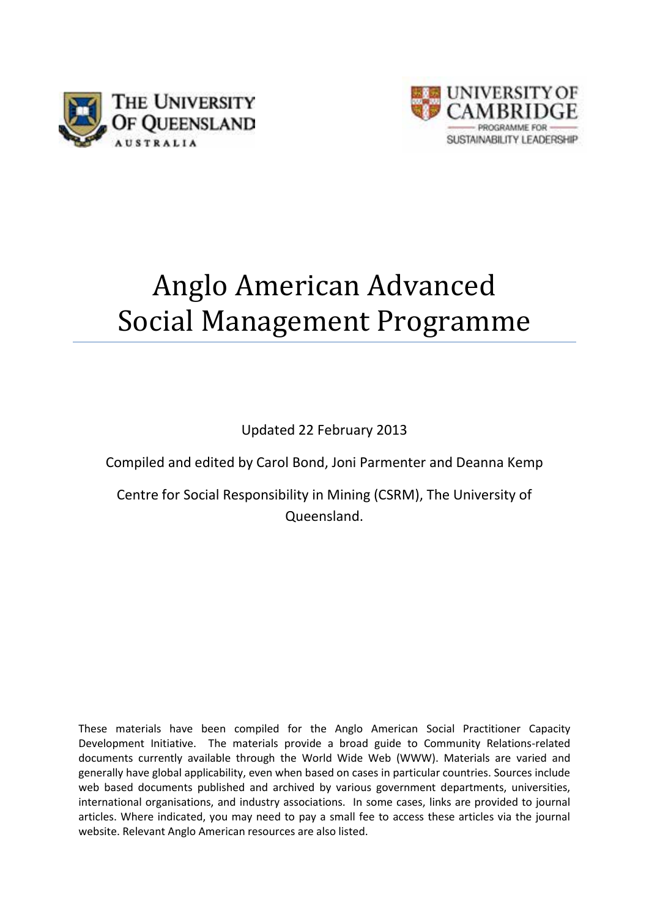



# Anglo American Advanced Social Management Programme

Updated 22 February 2013

Compiled and edited by Carol Bond, Joni Parmenter and Deanna Kemp

Centre for Social Responsibility in Mining (CSRM), The University of Queensland.

These materials have been compiled for the Anglo American Social Practitioner Capacity Development Initiative. The materials provide a broad guide to Community Relations-related documents currently available through the World Wide Web (WWW). Materials are varied and generally have global applicability, even when based on cases in particular countries. Sources include web based documents published and archived by various government departments, universities, international organisations, and industry associations. In some cases, links are provided to journal articles. Where indicated, you may need to pay a small fee to access these articles via the journal website. Relevant Anglo American resources are also listed.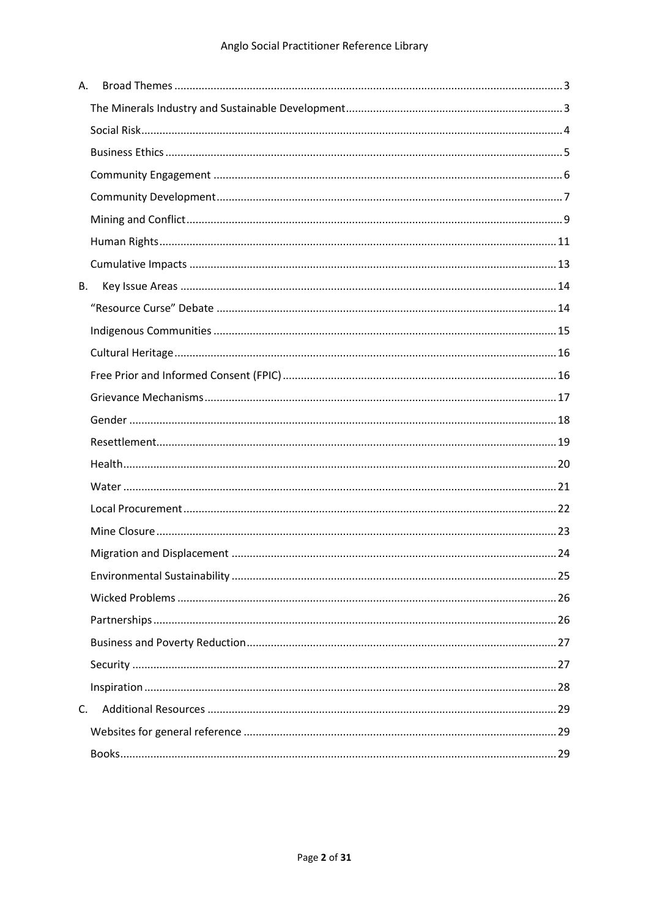| Α. |  |
|----|--|
|    |  |
|    |  |
|    |  |
|    |  |
|    |  |
|    |  |
|    |  |
|    |  |
| В. |  |
|    |  |
|    |  |
|    |  |
|    |  |
|    |  |
|    |  |
|    |  |
|    |  |
|    |  |
|    |  |
|    |  |
|    |  |
|    |  |
|    |  |
|    |  |
|    |  |
|    |  |
|    |  |
| C. |  |
|    |  |
|    |  |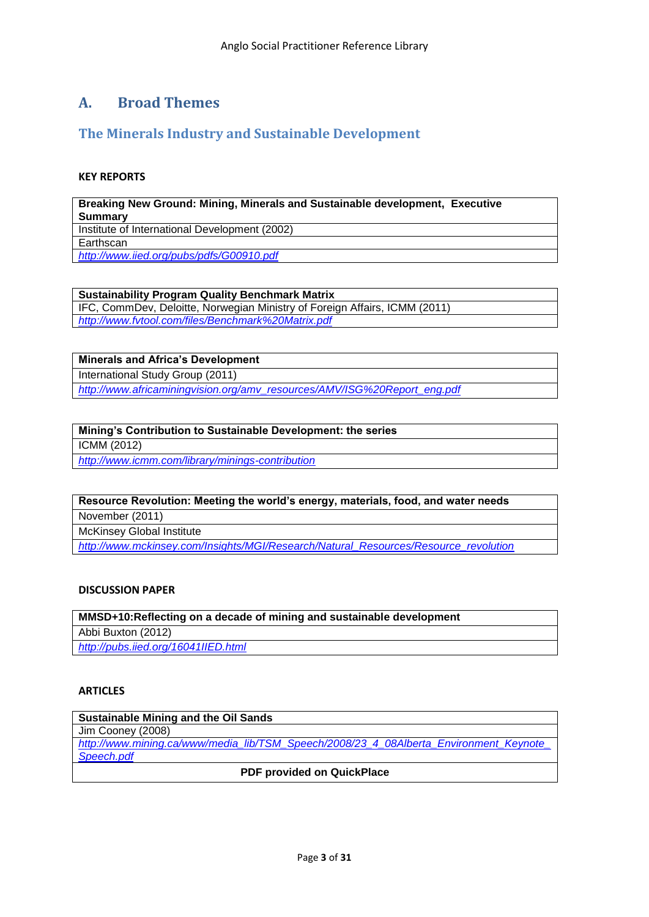# <span id="page-2-0"></span>**A. Broad Themes**

# <span id="page-2-1"></span>**The Minerals Industry and Sustainable Development**

# **KEY REPORTS**

**Breaking New Ground: Mining, Minerals and Sustainable development, Executive Summary** Institute of International Development (2002) Earthscan *<http://www.iied.org/pubs/pdfs/G00910.pdf>*

**Sustainability Program Quality Benchmark Matrix**

IFC, CommDev, Deloitte, Norwegian Ministry of Foreign Affairs, ICMM (2011) *<http://www.fvtool.com/files/Benchmark%20Matrix.pdf>*

**Minerals and Africa"s Development**

International Study Group (2011)

*[http://www.africaminingvision.org/amv\\_resources/AMV/ISG%20Report\\_eng.pdf](http://www.africaminingvision.org/amv_resources/AMV/ISG%20Report_eng.pdf)*

# **Mining"s Contribution to Sustainable Development: the series**

ICMM (2012)

*<http://www.icmm.com/library/minings-contribution>*

# **Resource Revolution: Meeting the world"s energy, materials, food, and water needs**

November (2011)

McKinsey Global Institute

*[http://www.mckinsey.com/Insights/MGI/Research/Natural\\_Resources/Resource\\_revolution](http://www.mckinsey.com/Insights/MGI/Research/Natural_Resources/Resource_revolution)*

# **DISCUSSION PAPER**

**MMSD+10:Reflecting on a decade of mining and sustainable development** Abbi Buxton (2012) *<http://pubs.iied.org/16041IIED.html>*

# **ARTICLES**

| <b>Sustainable Mining and the Oil Sands</b>                                           |  |  |
|---------------------------------------------------------------------------------------|--|--|
| Jim Cooney (2008)                                                                     |  |  |
| http://www.mining.ca/www/media lib/TSM Speech/2008/23 4 08Alberta Environment Keynote |  |  |
| Speech.pdf                                                                            |  |  |
| <b>DDE</b> <i>assisted</i> as Outstroless                                             |  |  |

**PDF provided on QuickPlace**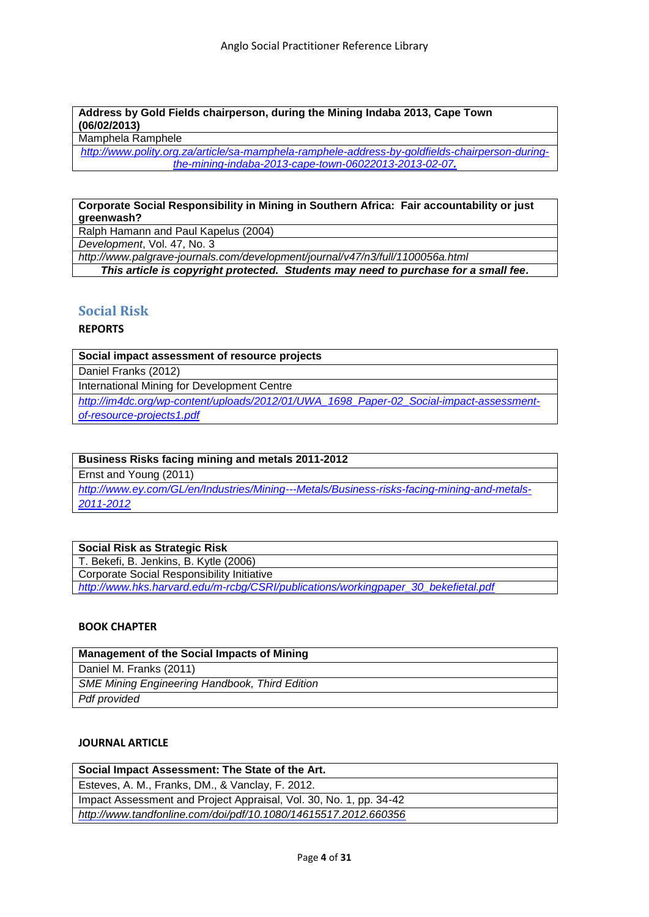# **Address by Gold Fields chairperson, during the Mining Indaba 2013, Cape Town (06/02/2013)**

Mamphela Ramphele

*[http://www.polity.org.za/article/sa-mamphela-ramphele-address-by-goldfields-chairperson-during](http://www.polity.org.za/article/sa-mamphela-ramphele-address-by-goldfields-chairperson-during-the-mining-indaba-2013-cape-town-06022013-2013-02-07)[the-mining-indaba-2013-cape-town-06022013-2013-02-07](http://www.polity.org.za/article/sa-mamphela-ramphele-address-by-goldfields-chairperson-during-the-mining-indaba-2013-cape-town-06022013-2013-02-07).*

# **Corporate Social Responsibility in Mining in Southern Africa: Fair accountability or just greenwash?**

Ralph Hamann and Paul Kapelus (2004)

*Development*, Vol. 47, No. 3

*<http://www.palgrave-journals.com/development/journal/v47/n3/full/1100056a.html>*

*This article is copyright protected. Students may need to purchase for a small fee.*

# <span id="page-3-0"></span>**Social Risk**

# **REPORTS**

**Social impact assessment of resource projects**

Daniel Franks (2012)

International Mining for Development Centre

*[http://im4dc.org/wp-content/uploads/2012/01/UWA\\_1698\\_Paper-02\\_Social-impact-assessment](http://im4dc.org/wp-content/uploads/2012/01/UWA_1698_Paper-02_Social-impact-assessment-of-resource-projects1.pdf)[of-resource-projects1.pdf](http://im4dc.org/wp-content/uploads/2012/01/UWA_1698_Paper-02_Social-impact-assessment-of-resource-projects1.pdf)*

# **Business Risks facing mining and metals 2011-2012**

Ernst and Young (2011)

*[http://www.ey.com/GL/en/Industries/Mining---Metals/Business-risks-facing-mining-and-metals-](http://www.ey.com/GL/en/Industries/Mining---Metals/Business-risks-facing-mining-and-metals-2011-2012)[2011-2012](http://www.ey.com/GL/en/Industries/Mining---Metals/Business-risks-facing-mining-and-metals-2011-2012)*

# **Social Risk as Strategic Risk**

T. Bekefi, B. Jenkins, B. Kytle (2006) Corporate Social Responsibility Initiative *[http://www.hks.harvard.edu/m-rcbg/CSRI/publications/workingpaper\\_30\\_bekefietal.pdf](http://www.hks.harvard.edu/m-rcbg/CSRI/publications/workingpaper_30_bekefietal.pdf)*

# **BOOK CHAPTER**

| Management of the Social Impacts of Mining            |
|-------------------------------------------------------|
| Daniel M. Franks (2011)                               |
| <b>SME Mining Engineering Handbook, Third Edition</b> |
| Pdf provided                                          |

# **JOURNAL ARTICLE**

| Social Impact Assessment: The State of the Art.                    |  |
|--------------------------------------------------------------------|--|
| Esteves, A. M., Franks, DM., & Vanclay, F. 2012.                   |  |
| Impact Assessment and Project Appraisal, Vol. 30, No. 1, pp. 34-42 |  |
| http://www.tandfonline.com/doi/pdf/10.1080/14615517.2012.660356    |  |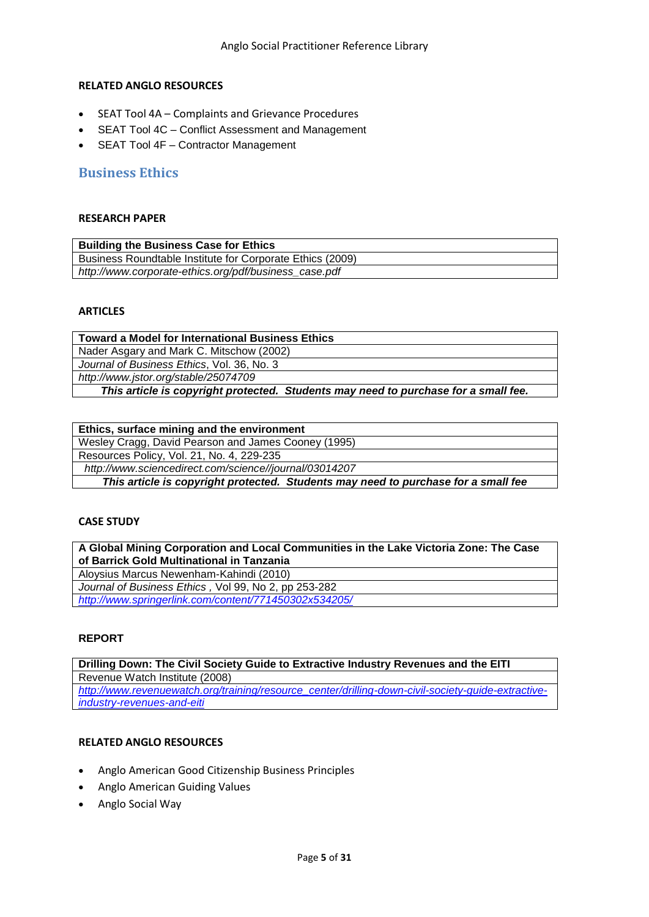#### **RELATED ANGLO RESOURCES**

- SEAT Tool 4A Complaints and Grievance Procedures
- SEAT Tool 4C Conflict Assessment and Management
- SEAT Tool 4F Contractor Management

# <span id="page-4-0"></span>**Business Ethics**

#### **RESEARCH PAPER**

| <b>Building the Business Case for Ethics</b>              |  |
|-----------------------------------------------------------|--|
| Business Roundtable Institute for Corporate Ethics (2009) |  |
| http://www.corporate-ethics.org/pdf/business_case.pdf     |  |

#### **ARTICLES**

| <b>Toward a Model for International Business Ethics</b>                             |
|-------------------------------------------------------------------------------------|
| Nader Asgary and Mark C. Mitschow (2002)                                            |
| Journal of Business Ethics, Vol. 36, No. 3                                          |
| http://www.jstor.org/stable/25074709                                                |
| This article is copyright protected. Students may need to purchase for a small fee. |

| Ethics, surface mining and the environment                                         |
|------------------------------------------------------------------------------------|
| Wesley Cragg, David Pearson and James Cooney (1995)                                |
| Resources Policy, Vol. 21, No. 4, 229-235                                          |
| http://www.sciencedirect.com/science//journal/03014207                             |
| This article is copyright protected. Students may need to purchase for a small fee |

#### **CASE STUDY**

**A Global Mining Corporation and Local Communities in the Lake Victoria Zone: The Case of Barrick Gold Multinational in Tanzania**

Aloysius Marcus Newenham-Kahindi (2010)

*Journal of Business Ethics ,* Vol 99, No 2, pp 253-282

*<http://www.springerlink.com/content/771450302x534205/>*

#### **REPORT**

**Drilling Down: The Civil Society Guide to Extractive Industry Revenues and the EITI** Revenue Watch Institute (2008) *[http://www.revenuewatch.org/training/resource\\_center/drilling-down-civil-society-guide-extractive](http://www.revenuewatch.org/training/resource_center/drilling-down-civil-society-guide-extractive-industry-revenues-and-eiti)[industry-revenues-and-eiti](http://www.revenuewatch.org/training/resource_center/drilling-down-civil-society-guide-extractive-industry-revenues-and-eiti)*

- Anglo American Good Citizenship Business Principles
- Anglo American Guiding Values
- Anglo Social Way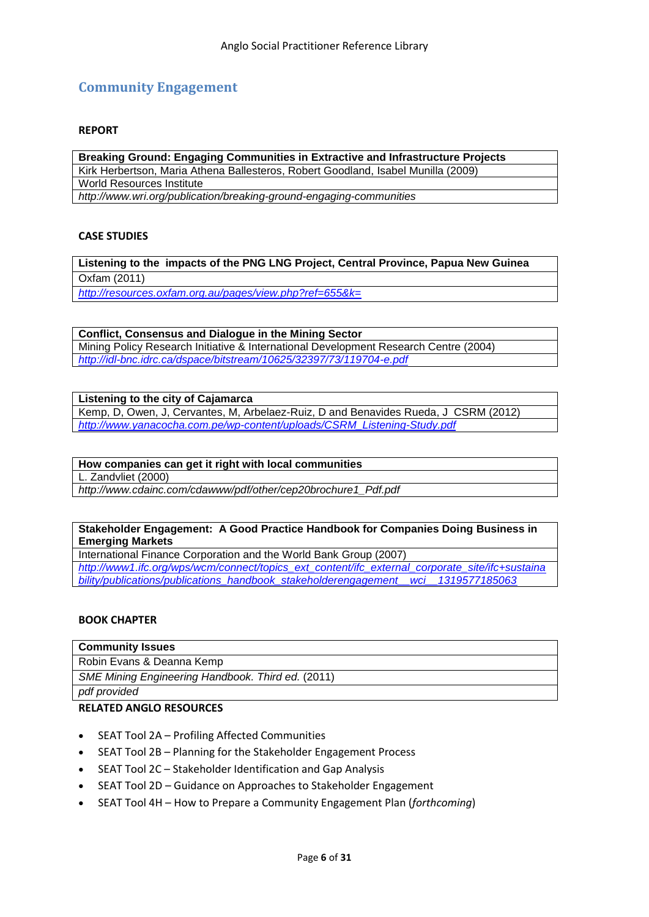# <span id="page-5-0"></span>**Community Engagement**

#### **REPORT**

**Breaking Ground: Engaging Communities in Extractive and Infrastructure Projects** [Kirk Herbertson,](http://www.wri.org/profile/kirk-herbertson) [Maria Athena Ballesteros,](http://www.wri.org/profile/maria-athena-ballesteros) Robert Goodland, [Isabel Munilla](http://www.wri.org/profile/isabel-munilla) (2009) World Resources Institute *<http://www.wri.org/publication/breaking-ground-engaging-communities>*

#### **CASE STUDIES**

**Listening to the impacts of the PNG LNG Project, Central Province, Papua New Guinea** Oxfam (2011)

*<http://resources.oxfam.org.au/pages/view.php?ref=655&k=>*

**Conflict, Consensus and Dialogue in the Mining Sector** Mining Policy Research Initiative & International Development Research Centre (2004) *<http://idl-bnc.idrc.ca/dspace/bitstream/10625/32397/73/119704-e.pdf>*

# **Listening to the city of Cajamarca**

Kemp, D, Owen, J, Cervantes, M, Arbelaez-Ruiz, D and Benavides Rueda, J CSRM (2012) *[http://www.yanacocha.com.pe/wp-content/uploads/CSRM\\_Listening-Study.pdf](http://www.yanacocha.com.pe/wp-content/uploads/CSRM_Listening-Study.pdf)*

#### **How companies can get it right with local communities**

L. Zandvliet (2000)

*[http://www.cdainc.com/cdawww/pdf/other/cep20brochure1\\_Pdf.pdf](http://www.cdainc.com/cdawww/pdf/other/cep20brochure1_Pdf.pdf)*

#### **Stakeholder Engagement: A Good Practice Handbook for Companies Doing Business in Emerging Markets**

International Finance Corporation and the World Bank Group (2007)

*[http://www1.ifc.org/wps/wcm/connect/topics\\_ext\\_content/ifc\\_external\\_corporate\\_site/ifc+sustaina](http://www1.ifc.org/wps/wcm/connect/topics_ext_content/ifc_external_corporate_site/ifc+sustainability/publications/publications_handbook_stakeholderengagement__wci__1319577185063) [bility/publications/publications\\_handbook\\_stakeholderengagement\\_\\_wci\\_\\_1319577185063](http://www1.ifc.org/wps/wcm/connect/topics_ext_content/ifc_external_corporate_site/ifc+sustainability/publications/publications_handbook_stakeholderengagement__wci__1319577185063)*

#### **BOOK CHAPTER**

| <b>Community Issues</b>                           |  |
|---------------------------------------------------|--|
| Robin Evans & Deanna Kemp                         |  |
| SME Mining Engineering Handbook. Third ed. (2011) |  |
| ndf provided                                      |  |

*pdf provided*

- SEAT Tool 2A Profiling Affected Communities
- SEAT Tool 2B Planning for the Stakeholder Engagement Process
- SEAT Tool 2C Stakeholder Identification and Gap Analysis
- SEAT Tool 2D Guidance on Approaches to Stakeholder Engagement
- SEAT Tool 4H How to Prepare a Community Engagement Plan (*forthcoming*)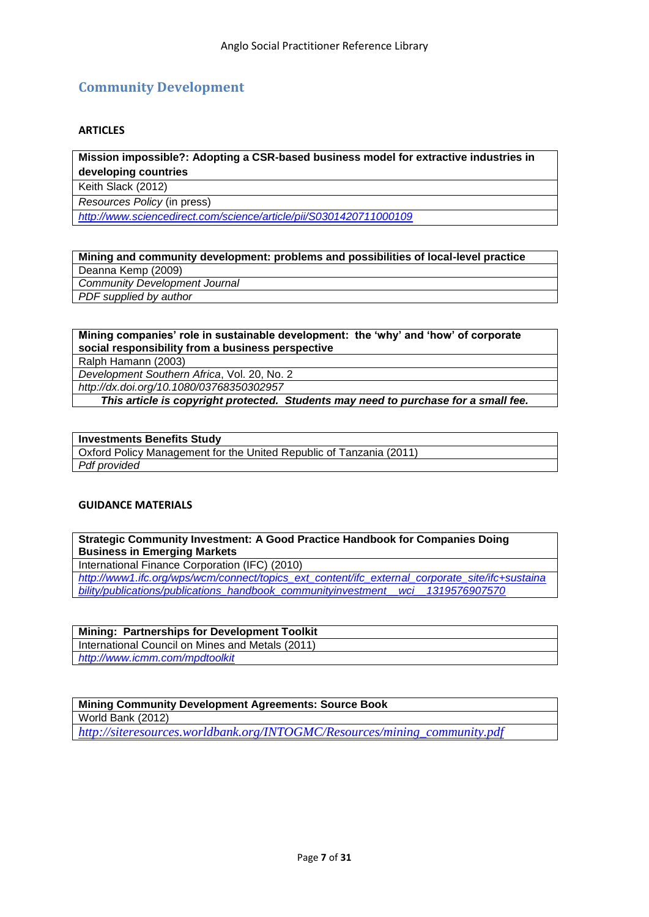# <span id="page-6-0"></span>**Community Development**

# **ARTICLES**

# **Mission impossible?: Adopting a CSR-based business model for extractive industries in developing countries**

Keith Slack (2012)

*Resources Policy* (in press)

*<http://www.sciencedirect.com/science/article/pii/S0301420711000109>*

# **Mining and community development: problems and possibilities of local-level practice**

Deanna Kemp (2009)

*Community Development Journal*

*PDF supplied by author*

# **Mining companies" role in sustainable development: the "why" and "how" of corporate social responsibility from a business perspective**

Ralph Hamann (2003) *Development Southern Africa*, Vol. 20, No. 2

*<http://dx.doi.org/10.1080/03768350302957>*

# *This article is copyright protected. Students may need to purchase for a small fee.*

# **Investments Benefits Study**

Oxford Policy Management for the United Republic of Tanzania (2011) *Pdf provided*

#### **GUIDANCE MATERIALS**

#### **Strategic Community Investment: A Good Practice Handbook for Companies Doing Business in Emerging Markets**

International Finance Corporation (IFC) (2010)

*[http://www1.ifc.org/wps/wcm/connect/topics\\_ext\\_content/ifc\\_external\\_corporate\\_site/ifc+sustaina](http://www1.ifc.org/wps/wcm/connect/topics_ext_content/ifc_external_corporate_site/ifc+sustainability/publications/publications_handbook_communityinvestment__wci__1319576907570) [bility/publications/publications\\_handbook\\_communityinvestment\\_\\_wci\\_\\_1319576907570](http://www1.ifc.org/wps/wcm/connect/topics_ext_content/ifc_external_corporate_site/ifc+sustainability/publications/publications_handbook_communityinvestment__wci__1319576907570)*

# **Mining: Partnerships for Development Toolkit**

International Council on Mines and Metals (2011) *<http://www.icmm.com/mpdtoolkit>*

# **Mining Community Development Agreements: Source Book**

World Bank (2012)

*[http://siteresources.worldbank.org/INTOGMC/Resources/mining\\_community.pdf](http://siteresources.worldbank.org/INTOGMC/Resources/mining_community.pdf)*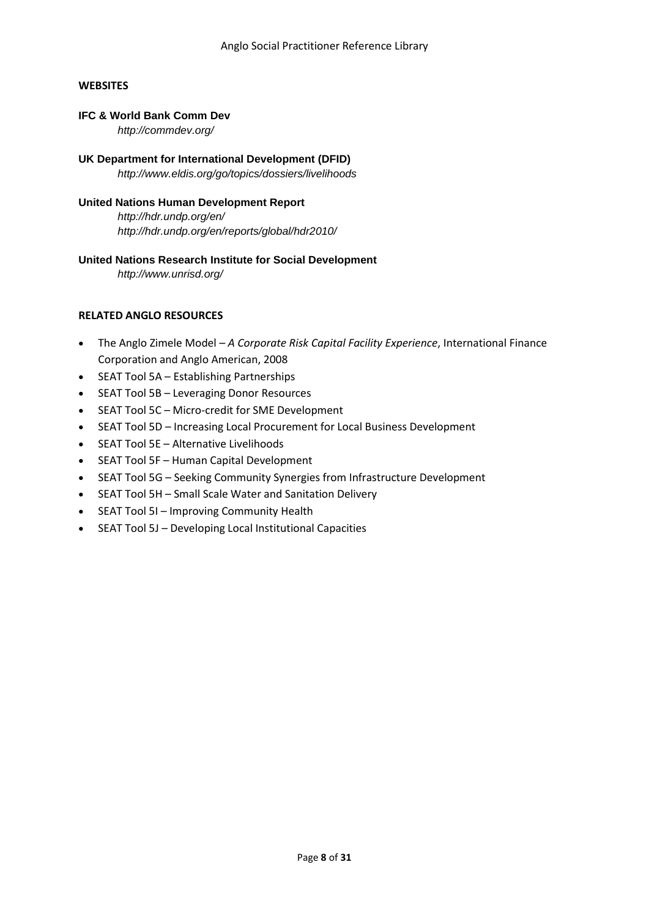# **WEBSITES**

# **IFC & World Bank Comm Dev**

*<http://commdev.org/>*

**UK Department for International Development (DFID)**  *<http://www.eldis.org/go/topics/dossiers/livelihoods>*

# **United Nations Human Development Report**

*<http://hdr.undp.org/en/> http://hdr.undp.org/en/reports/global/hdr2010/* 

# **United Nations Research Institute for Social Development**

*http://www.unrisd.org/* 

- The Anglo Zimele Model *A Corporate Risk Capital Facility Experience*, International Finance Corporation and Anglo American, 2008
- SEAT Tool 5A Establishing Partnerships
- SEAT Tool 5B Leveraging Donor Resources
- SEAT Tool 5C Micro-credit for SME Development
- SEAT Tool 5D Increasing Local Procurement for Local Business Development
- SEAT Tool 5E Alternative Livelihoods
- SEAT Tool 5F Human Capital Development
- SEAT Tool 5G Seeking Community Synergies from Infrastructure Development
- SEAT Tool 5H Small Scale Water and Sanitation Delivery
- SEAT Tool 5I Improving Community Health
- SEAT Tool 5J Developing Local Institutional Capacities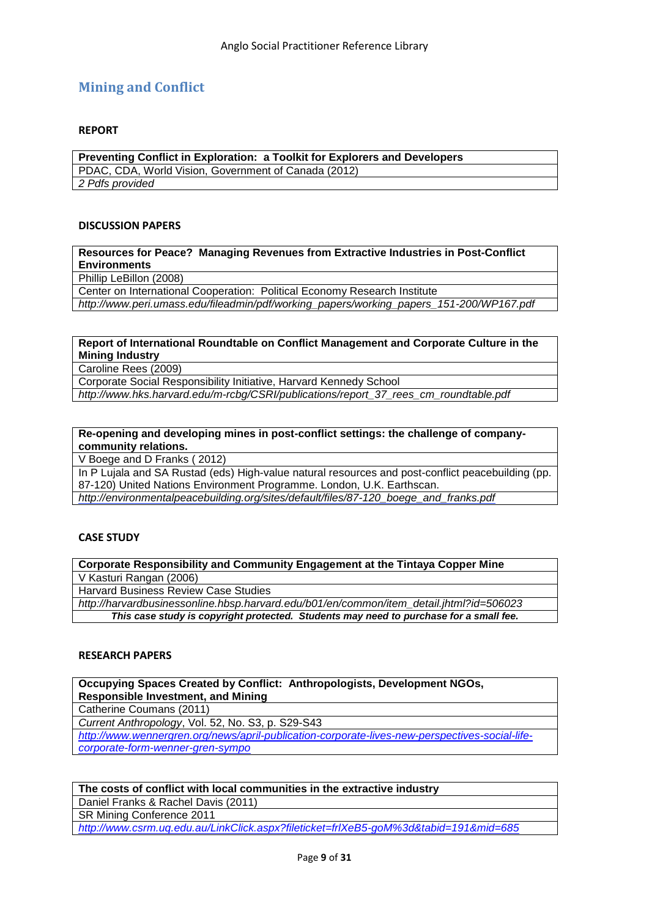# <span id="page-8-0"></span>**Mining and Conflict**

#### **REPORT**

**Preventing Conflict in Exploration: a Toolkit for Explorers and Developers** PDAC, CDA, World Vision, Government of Canada (2012) *2 [Pdfs](http://www.wri.org/publication/breaking-ground-engaging-communities) provided*

#### **DISCUSSION PAPERS**

**[Resources](http://commdev.org/files/1801_file_Final_April_29_2008.pdf) for Peace? Managing Revenues from Extractive Industries in Post-Conflict Environments**

Phillip LeBillon (2008)

Center on International Cooperation: Political Economy Research Institute

*[http://www.peri.umass.edu/fileadmin/pdf/working\\_papers/working\\_papers\\_151-200/WP167.pdf](http://www.peri.umass.edu/fileadmin/pdf/working_papers/working_papers_151-200/WP167.pdf)*

#### **Report of International Roundtable on Conflict Management and Corporate Culture in the Mining Industry**

Caroline Rees (2009)

Corporate Social Responsibility Initiative, Harvard Kennedy School

*[http://www.hks.harvard.edu/m-rcbg/CSRI/publications/report\\_37\\_rees\\_cm\\_roundtable.pdf](http://www.hks.harvard.edu/m-rcbg/CSRI/publications/report_37_rees_cm_roundtable.pdf)*

**Re-opening and developing mines in post-conflict settings: the challenge of companycommunity relations.** 

V Boege and D Franks ( 2012)

In P Lujala and SA Rustad (eds) High-value natural resources and post-conflict peacebuilding (pp. 87-120) United Nations Environment Programme. London, U.K. Earthscan.

*[http://environmentalpeacebuilding.org/sites/default/files/87-120\\_boege\\_and\\_franks.pdf](http://environmentalpeacebuilding.org/sites/default/files/87-120_boege_and_franks.pdf)*

# **CASE STUDY**

**Corporate Responsibility and Community Engagement at the Tintaya Copper Mine** V Kasturi Rangan (2006)

Harvard Business Review Case Studies

*[http://harvardbusinessonline.hbsp.harvard.edu/b01/en/common/item\\_detail.jhtml?id=506023](http://harvardbusinessonline.hbsp.harvard.edu/b01/en/common/item_detail.jhtml?id=506023)*

*This case study is copyright protected. Students may need to purchase for a small fee.*

#### **RESEARCH PAPERS**

**Occupying Spaces Created by Conflict: Anthropologists, Development NGOs, Responsible Investment, and Mining**

Catherine Coumans (2011)

*Current Anthropology*, Vol. 52, No. S3, p. S29-S43

*[http://www.wennergren.org/news/april-publication-corporate-lives-new-perspectives-social-life](http://www.wennergren.org/news/april-publication-corporate-lives-new-perspectives-social-life-corporate-form-wenner-gren-sympo)[corporate-form-wenner-gren-sympo](http://www.wennergren.org/news/april-publication-corporate-lives-new-perspectives-social-life-corporate-form-wenner-gren-sympo)*

#### **The costs of conflict with local communities in the extractive industry**

Daniel Franks & Rachel Davis (2011)

SR Mining Conference 2011

*<http://www.csrm.uq.edu.au/LinkClick.aspx?fileticket=frlXeB5-goM%3d&tabid=191&mid=685>*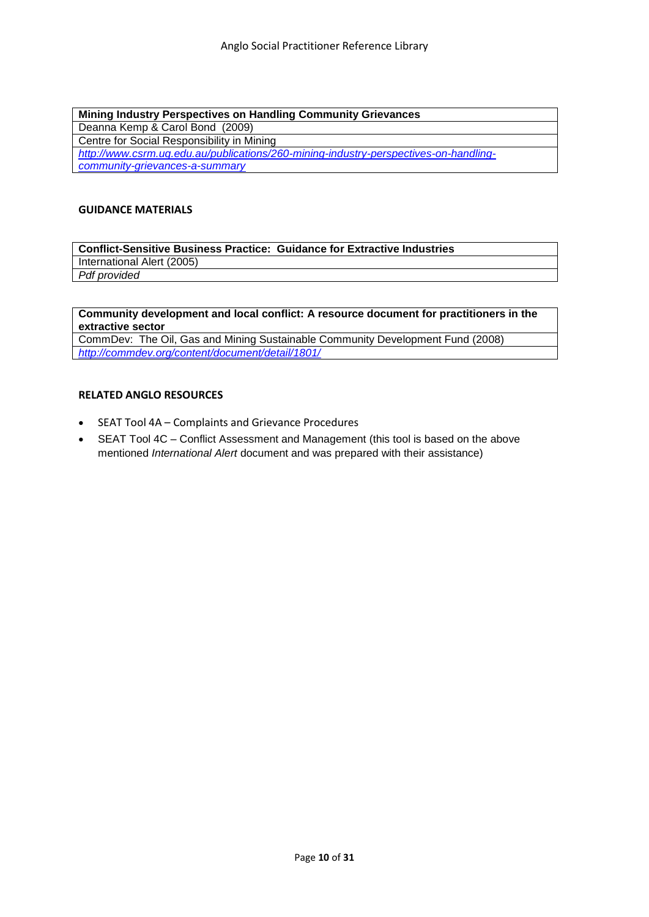**Mining Industry Perspectives on Handling Community Grievances** Deanna Kemp & Carol Bond (2009) Centre for Social Responsibility in Mining *[http://www.csrm.uq.edu.au/publications/260-mining-industry-perspectives-on-handling](http://www.csrm.uq.edu.au/publications/260-mining-industry-perspectives-on-handling-community-grievances-a-summary)[community-grievances-a-summary](http://www.csrm.uq.edu.au/publications/260-mining-industry-perspectives-on-handling-community-grievances-a-summary)*

#### **GUIDANCE MATERIALS**

**Conflict-Sensitive Business Practice: Guidance for Extractive Industries** International Alert (2005) *[Pdf](http://www.international-alert.org/pdfs/conflict_sensitive_business_practice_all.pdf) provided*

# **[Community development and local conflict: A resource document for practitioners in the](http://commdev.org/files/1801_file_Final_April_29_2008.pdf)  [extractive sector](http://commdev.org/files/1801_file_Final_April_29_2008.pdf)**

CommDev: The Oil, Gas and Mining Sustainable Community Development Fund (2008) *<http://commdev.org/content/document/detail/1801/>*

- SEAT Tool 4A Complaints and Grievance Procedures
- SEAT Tool 4C Conflict Assessment and Management (this tool is based on the above mentioned *International Alert* document and was prepared with their assistance)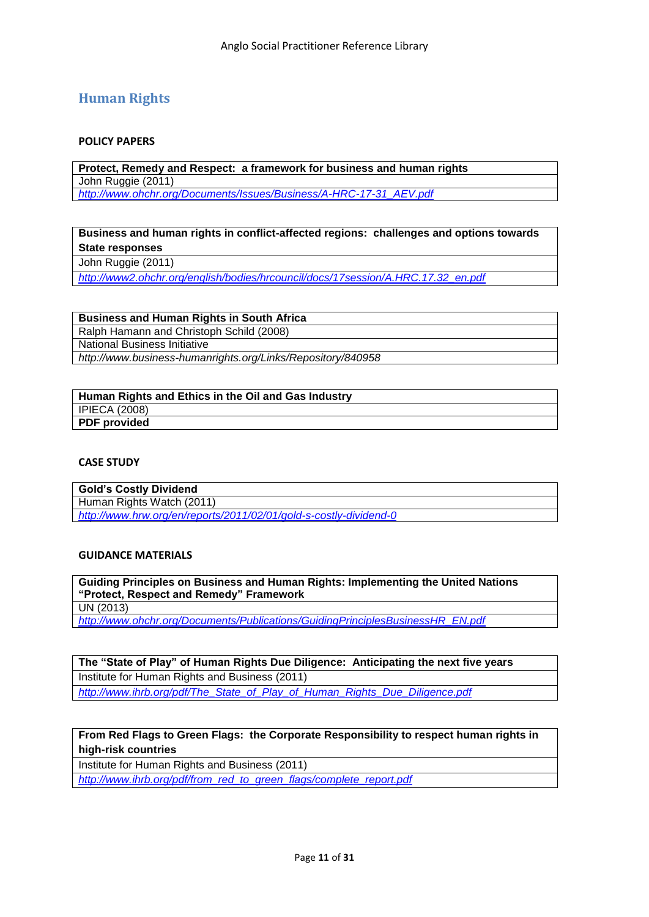# <span id="page-10-0"></span>**Human Rights**

#### **POLICY PAPERS**

**Protect, Remedy and Respect: a framework for business and human rights** John Ruggie (2011)

*[http://www.ohchr.org/Documents/Issues/Business/A-HRC-17-31\\_AEV.pdf](http://www.ohchr.org/Documents/Issues/Business/A-HRC-17-31_AEV.pdf)*

**Business and human rights in conflict-affected regions: challenges and options towards State responses**

John Ruggie (2011)

*[http://www2.ohchr.org/english/bodies/hrcouncil/docs/17session/A.HRC.17.32\\_en.pdf](http://www2.ohchr.org/english/bodies/hrcouncil/docs/17session/A.HRC.17.32_en.pdf)*

**Business and Human Rights in South Africa**

Ralph Hamann and Christoph Schild (2008)

National Business Initiative

*<http://www.business-humanrights.org/Links/Repository/840958>*

| Human Rights and Ethics in the Oil and Gas Industry |  |
|-----------------------------------------------------|--|
| <b>IPIECA (2008)</b>                                |  |
| <b>PDF</b> provided                                 |  |

#### **CASE STUDY**

**Gold"s Costly Dividend** Human Rights Watch (2011) *<http://www.hrw.org/en/reports/2011/02/01/gold-s-costly-dividend-0>*

#### **GUIDANCE MATERIALS**

**Guiding Principles on Business and Human Rights: Implementing the United Nations "Protect, Respect and Remedy" Framework** UN (2013)

*[http://www.ohchr.org/Documents/Publications/GuidingPrinciplesBusinessHR\\_EN.pdf](http://www.ohchr.org/Documents/Publications/GuidingPrinciplesBusinessHR_EN.pdf)*

**The "State of Play" of Human Rights Due Diligence: Anticipating the next five years** Institute for Human Rights and Business (2011) *[http://www.ihrb.org/pdf/The\\_State\\_of\\_Play\\_of\\_Human\\_Rights\\_Due\\_Diligence.pdf](http://www.ihrb.org/pdf/The_State_of_Play_of_Human_Rights_Due_Diligence.pdf)*

# **From Red Flags to Green Flags: the Corporate Responsibility to respect human rights in high-risk countries**

Institute for Human Rights and Business (2011)

*[http://www.ihrb.org/pdf/from\\_red\\_to\\_green\\_flags/complete\\_report.pdf](http://www.ihrb.org/pdf/from_red_to_green_flags/complete_report.pdf)*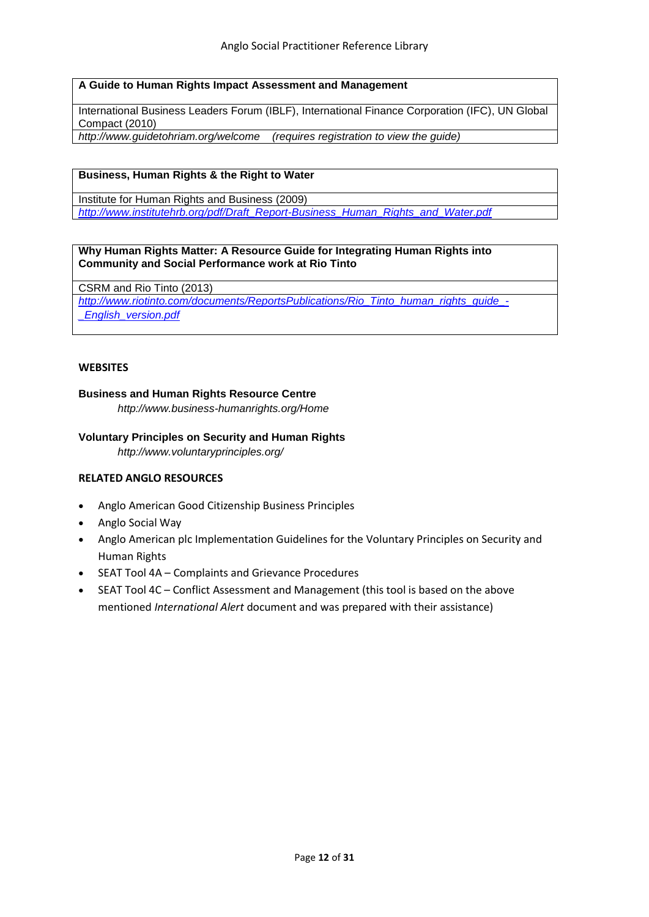# **A Guide to Human Rights Impact Assessment and Management**

[International Business Leaders Forum \(IBLF\),](http://www.iblf.org/) [International Finance Corporation \(IFC\),](http://www.commdev.org/www.ifc.org/) [UN Global](http://www.unglobalcompact.org/)  [Compact](http://www.unglobalcompact.org/) (2010)

*http://www.guidetohriam.org/welcome (requires registration to view the guide)*

# **Business, Human Rights & the Right to Water**

Institute for Human Rights and Business (2009) *[http://www.institutehrb.org/pdf/Draft\\_Report-Business\\_Human\\_Rights\\_and\\_Water.pdf](http://www.institutehrb.org/pdf/Draft_Report-Business_Human_Rights_and_Water.pdf)*

#### **Why Human Rights Matter: A Resource Guide for Integrating Human Rights into Community and Social Performance work at Rio Tinto**

CSRM and Rio Tinto (2013)

*[http://www.riotinto.com/documents/ReportsPublications/Rio\\_Tinto\\_human\\_rights\\_guide\\_-](http://www.riotinto.com/documents/ReportsPublications/Rio_Tinto_human_rights_guide_-_English_version.pdf)*

*[\\_English\\_version.pdf](http://www.riotinto.com/documents/ReportsPublications/Rio_Tinto_human_rights_guide_-_English_version.pdf)*

# **WEBSITES**

# **Business and Human Rights Resource Centre**

*http://www.business-humanrights.org/Home* 

# **Voluntary Principles on Security and Human Rights**

*<http://www.voluntaryprinciples.org/>*

- Anglo American Good Citizenship Business Principles
- Anglo Social Way
- Anglo American plc Implementation Guidelines for the Voluntary Principles on Security and Human Rights
- SEAT Tool 4A Complaints and Grievance Procedures
- SEAT Tool 4C Conflict Assessment and Management (this tool is based on the above mentioned *International Alert* document and was prepared with their assistance)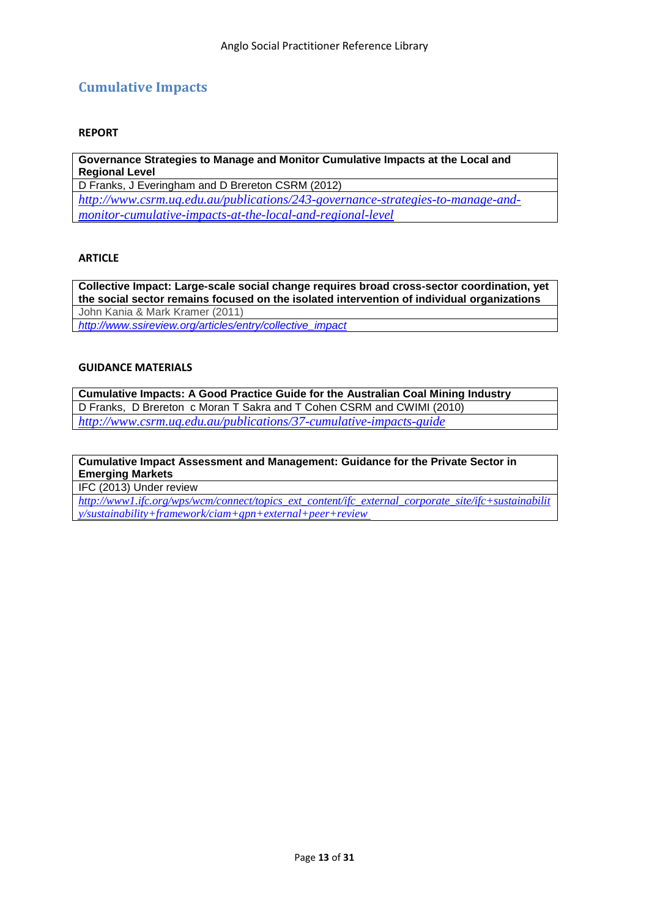# <span id="page-12-0"></span>**Cumulative Impacts**

#### **REPORT**

**Governance Strategies to Manage and Monitor Cumulative Impacts at the Local and Regional Level**

D Franks, J Everingham and D Brereton CSRM (2012) *[http://www.csrm.uq.edu.au/publications/243-governance-strategies-to-manage-and](http://www.csrm.uq.edu.au/publications/243-governance-strategies-to-manage-and-monitor-cumulative-impacts-at-the-local-and-regional-level)[monitor-cumulative-impacts-at-the-local-and-regional-level](http://www.csrm.uq.edu.au/publications/243-governance-strategies-to-manage-and-monitor-cumulative-impacts-at-the-local-and-regional-level)*

### **ARTICLE**

**Collective Impact: Large-scale social change requires broad cross-sector coordination, yet the social sector remains focused on the isolated intervention of individual organizations** John Kania & Mark Kramer (2011)

*[http://www.ssireview.org/articles/entry/collective\\_impact](http://www.ssireview.org/articles/entry/collective_impact)*

# **GUIDANCE MATERIALS**

**Cumulative Impacts: A Good Practice Guide for the Australian Coal Mining Industry** D Franks, D Brereton c Moran T Sakra and T Cohen CSRM and CWIMI (2010) *<http://www.csrm.uq.edu.au/publications/37-cumulative-impacts-guide>*

# **Cumulative Impact Assessment and Management: Guidance for the Private Sector in Emerging Markets**

IFC (2013) Under review

*[http://www1.ifc.org/wps/wcm/connect/topics\\_ext\\_content/ifc\\_external\\_corporate\\_site/ifc+sustainabilit](http://www1.ifc.org/wps/wcm/connect/topics_ext_content/ifc_external_corporate_site/ifc+sustainability/sustainability+framework/ciam+gpn+external+peer+review) [y/sustainability+framework/ciam+gpn+external+peer+review](http://www1.ifc.org/wps/wcm/connect/topics_ext_content/ifc_external_corporate_site/ifc+sustainability/sustainability+framework/ciam+gpn+external+peer+review)*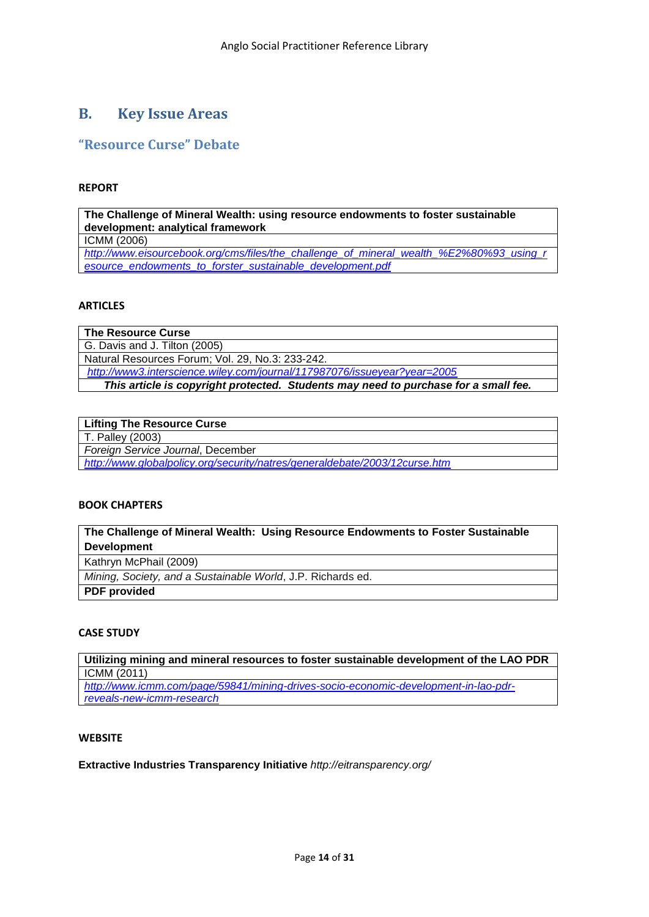# <span id="page-13-0"></span>**B. Key Issue Areas**

# <span id="page-13-1"></span>**"Resource Curse" Debate**

#### **REPORT**

**The Challenge of Mineral Wealth: using resource endowments to foster sustainable development: analytical framework** ICMM (2006) *[http://www.eisourcebook.org/cms/files/the\\_challenge\\_of\\_mineral\\_wealth\\_%E2%80%93\\_using\\_r](http://www.eisourcebook.org/cms/files/the_challenge_of_mineral_wealth_%E2%80%93_using_resource_endowments_to_forster_sustainable_development.pdf) [esource\\_endowments\\_to\\_forster\\_sustainable\\_development.pdf](http://www.eisourcebook.org/cms/files/the_challenge_of_mineral_wealth_%E2%80%93_using_resource_endowments_to_forster_sustainable_development.pdf)*

# **ARTICLES**

**The Resource Curse** G. Davis and J. Tilton (2005) Natural Resources Forum; Vol. 29, No.3: 233-242. *<http://www3.interscience.wiley.com/journal/117987076/issueyear?year=2005> This article is copyright protected. Students may need to purchase for a small fee.*

# **Lifting The Resource Curse**

T. Palley (2003)

*Foreign Service Journal*, December

*<http://www.globalpolicy.org/security/natres/generaldebate/2003/12curse.htm>*

# **BOOK CHAPTERS**

# **The Challenge of Mineral Wealth: Using Resource Endowments to Foster Sustainable Development**

Kathryn McPhail (2009)

*Mining, Society, and a Sustainable World*, J.P. Richards ed.

**PDF provided**

# **CASE STUDY**

**Utilizing mining and mineral resources to foster sustainable development of the LAO PDR** ICMM (2011)

*[http://www.icmm.com/page/59841/mining-drives-socio-economic-development-in-lao-pdr](http://www.icmm.com/page/59841/mining-drives-socio-economic-development-in-lao-pdr-reveals-new-icmm-research)[reveals-new-icmm-research](http://www.icmm.com/page/59841/mining-drives-socio-economic-development-in-lao-pdr-reveals-new-icmm-research)*

# **WEBSITE**

**Extractive Industries Transparency Initiative** *<http://eitransparency.org/>*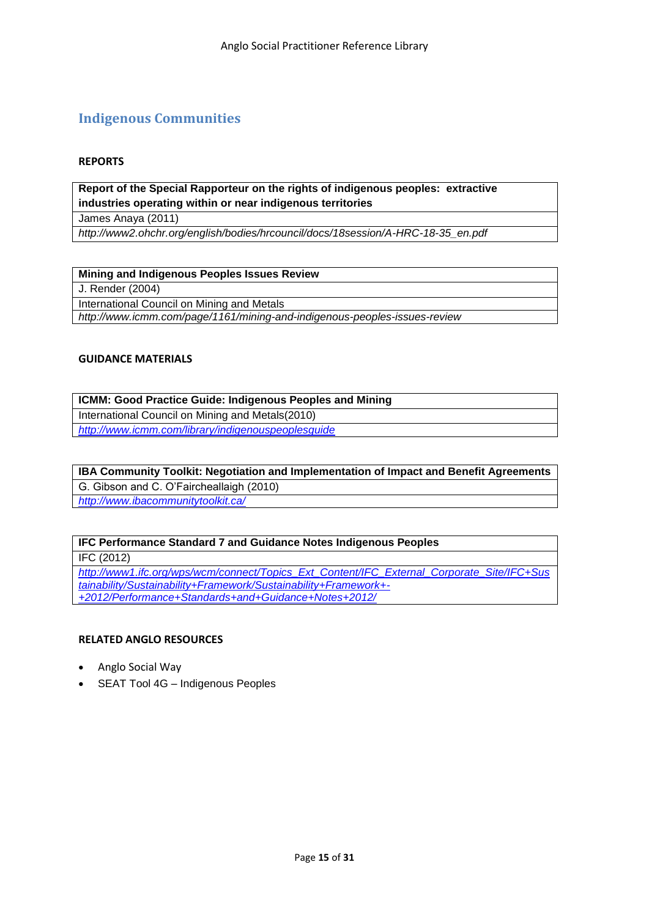# <span id="page-14-0"></span>**Indigenous Communities**

#### **REPORTS**

**Report of the Special Rapporteur on the rights of indigenous peoples: extractive industries operating within or near indigenous territories**

James Anaya (2011)

*http://www2.ohchr.org/english/bodies/hrcouncil/docs/18session/A-HRC-18-35\_en.pdf*

#### **Mining and Indigenous Peoples Issues Review**

J. Render (2004)

International Council on Mining and Metals

*<http://www.icmm.com/page/1161/mining-and-indigenous-peoples-issues-review>*

# **GUIDANCE MATERIALS**

**ICMM: Good Practice Guide: Indigenous Peoples and Mining** International Council on Mining and Metals(2010) *<http://www.icmm.com/library/indigenouspeoplesguide>*

**IBA Community Toolkit: Negotiation and Implementation of Impact and Benefit Agreements** G. Gibson and C. O'Faircheallaigh (2010)

*<http://www.ibacommunitytoolkit.ca/>*

#### **IFC Performance Standard 7 and Guidance Notes Indigenous Peoples**

IFC (2012)

*[http://www1.ifc.org/wps/wcm/connect/Topics\\_Ext\\_Content/IFC\\_External\\_Corporate\\_Site/IFC+Sus](http://www1.ifc.org/wps/wcm/connect/Topics_Ext_Content/IFC_External_Corporate_Site/IFC+Sustainability/Sustainability+Framework/Sustainability+Framework+-+2012/Performance+Standards+and+Guidance+Notes+2012/) [tainability/Sustainability+Framework/Sustainability+Framework+-](http://www1.ifc.org/wps/wcm/connect/Topics_Ext_Content/IFC_External_Corporate_Site/IFC+Sustainability/Sustainability+Framework/Sustainability+Framework+-+2012/Performance+Standards+and+Guidance+Notes+2012/) [+2012/Performance+Standards+and+Guidance+Notes+2012/](http://www1.ifc.org/wps/wcm/connect/Topics_Ext_Content/IFC_External_Corporate_Site/IFC+Sustainability/Sustainability+Framework/Sustainability+Framework+-+2012/Performance+Standards+and+Guidance+Notes+2012/)*

- Anglo Social Way
- SEAT Tool 4G Indigenous Peoples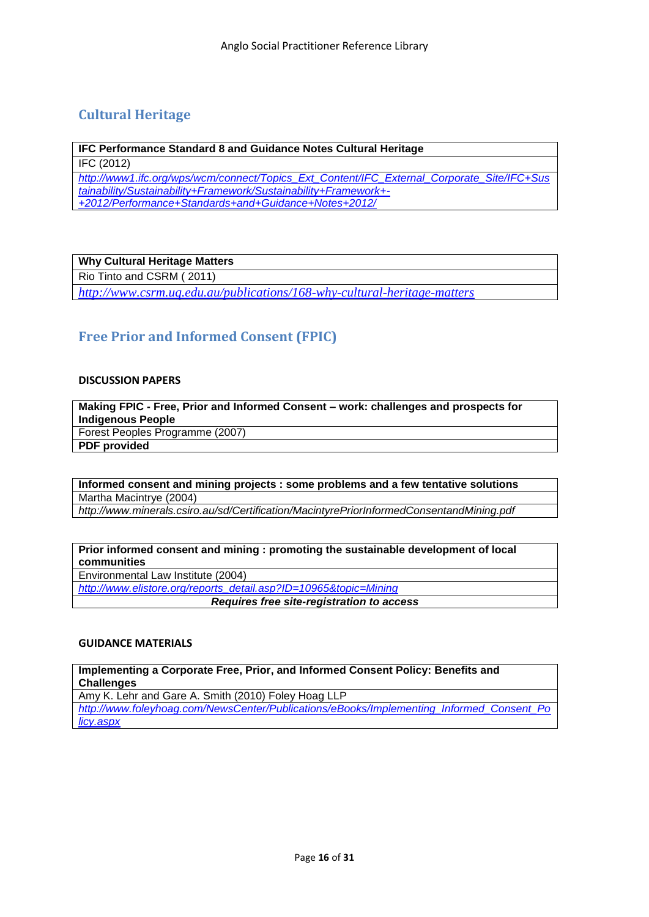# <span id="page-15-0"></span>**Cultural Heritage**

**IFC Performance Standard 8 and Guidance Notes Cultural Heritage**

IFC (2012)

*[http://www1.ifc.org/wps/wcm/connect/Topics\\_Ext\\_Content/IFC\\_External\\_Corporate\\_Site/IFC+Sus](http://www1.ifc.org/wps/wcm/connect/Topics_Ext_Content/IFC_External_Corporate_Site/IFC+Sustainability/Sustainability+Framework/Sustainability+Framework+-+2012/Performance+Standards+and+Guidance+Notes+2012/) [tainability/Sustainability+Framework/Sustainability+Framework+-](http://www1.ifc.org/wps/wcm/connect/Topics_Ext_Content/IFC_External_Corporate_Site/IFC+Sustainability/Sustainability+Framework/Sustainability+Framework+-+2012/Performance+Standards+and+Guidance+Notes+2012/) [+2012/Performance+Standards+and+Guidance+Notes+2012/](http://www1.ifc.org/wps/wcm/connect/Topics_Ext_Content/IFC_External_Corporate_Site/IFC+Sustainability/Sustainability+Framework/Sustainability+Framework+-+2012/Performance+Standards+and+Guidance+Notes+2012/)*

# **Why Cultural Heritage Matters**

Rio Tinto and CSRM ( 2011)

*<http://www.csrm.uq.edu.au/publications/168-why-cultural-heritage-matters>*

# <span id="page-15-1"></span>**Free Prior and Informed Consent (FPIC)**

#### **DISCUSSION PAPERS**

**Making FPIC - Free, Prior and Informed Consent – work: challenges and prospects for Indigenous People** Forest Peoples Programme (2007) **[PDF](http://www.forestpeoples.org/documents/law_hr/fpic_synthesis_jun07_eng.pdf) provided**

**Informed consent and mining projects : some problems and a few tentative solutions** Martha Macintrye (2004)

*<http://www.minerals.csiro.au/sd/Certification/MacintyrePriorInformedConsentandMining.pdf>*

#### **Prior informed consent and mining : promoting the sustainable development of local communities**

Environmental Law Institute (2004)

*[http://www.elistore.org/reports\\_detail.asp?ID=10965&topic=Mining](http://www.elistore.org/reports_detail.asp?ID=10965&topic=Mining)* 

*Requires free site-registration to access*

# **GUIDANCE MATERIALS**

**Implementing a Corporate Free, Prior, and Informed Consent Policy: Benefits and Challenges**

Amy K. Lehr and Gare A. Smith (2010) Foley Hoag LLP

*[http://www.foleyhoag.com/NewsCenter/Publications/eBooks/Implementing\\_Informed\\_Consent\\_Po](http://www.foleyhoag.com/NewsCenter/Publications/eBooks/Implementing_Informed_Consent_Policy.aspx) [licy.aspx](http://www.foleyhoag.com/NewsCenter/Publications/eBooks/Implementing_Informed_Consent_Policy.aspx)*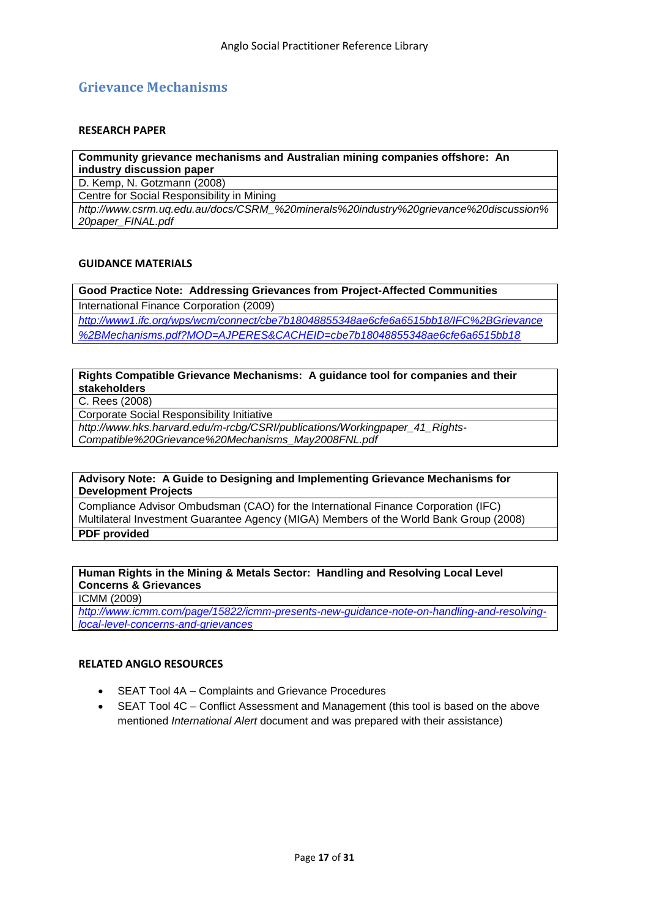# <span id="page-16-0"></span>**Grievance Mechanisms**

#### **RESEARCH PAPER**

| Community grievance mechanisms and Australian mining companies offshore: An          |  |
|--------------------------------------------------------------------------------------|--|
| industry discussion paper                                                            |  |
| D. Kemp, N. Gotzmann (2008)                                                          |  |
| Centre for Social Responsibility in Mining                                           |  |
| http://www.csrm.uq.edu.au/docs/CSRM %20minerals%20industry%20qrievance%20discussion% |  |
| 20paper_FINAL.pdf                                                                    |  |

#### **GUIDANCE MATERIALS**

**Good Practice Note: Addressing Grievances from Project-Affected Communities** International Finance Corporation (2009)

*[http://www1.ifc.org/wps/wcm/connect/cbe7b18048855348ae6cfe6a6515bb18/IFC%2BGrievance](http://www1.ifc.org/wps/wcm/connect/cbe7b18048855348ae6cfe6a6515bb18/IFC%2BGrievance%2BMechanisms.pdf?MOD=AJPERES&CACHEID=cbe7b18048855348ae6cfe6a6515bb18) [%2BMechanisms.pdf?MOD=AJPERES&CACHEID=cbe7b18048855348ae6cfe6a6515bb18](http://www1.ifc.org/wps/wcm/connect/cbe7b18048855348ae6cfe6a6515bb18/IFC%2BGrievance%2BMechanisms.pdf?MOD=AJPERES&CACHEID=cbe7b18048855348ae6cfe6a6515bb18)*

#### **Rights Compatible Grievance Mechanisms: A guidance tool for companies and their stakeholders**

C. Rees (2008)

Corporate Social Responsibility Initiative

*[http://www.hks.harvard.edu/m-rcbg/CSRI/publications/Workingpaper\\_41\\_Rights-](http://www.hks.harvard.edu/m-rcbg/CSRI/publications/Workingpaper_41_Rights-Compatible%20Grievance%20Mechanisms_May2008FNL.pdf)[Compatible%20Grievance%20Mechanisms\\_May2008FNL.pdf](http://www.hks.harvard.edu/m-rcbg/CSRI/publications/Workingpaper_41_Rights-Compatible%20Grievance%20Mechanisms_May2008FNL.pdf)*

# **Advisory Note: A Guide to Designing and Implementing Grievance Mechanisms for**

**Development Projects**

Compliance Advisor Ombudsman (CAO) for the International Finance Corporation (IFC) Multilateral Investment Guarantee Agency (MIGA) Members of the World Bank Group (2008) **[PDF](http://www.cao-ombudsman.org/html-english/Grievance_mechanisms2.htm) provided**

# **Human Rights in the Mining & Metals Sector: Handling and Resolving Local Level Concerns & Grievances**

ICMM (2009)

*[http://www.icmm.com/page/15822/icmm-presents-new-guidance-note-on-handling-and-resolving](http://www.icmm.com/page/15822/icmm-presents-new-guidance-note-on-handling-and-resolving-local-level-concerns-and-grievances)[local-level-concerns-and-grievances](http://www.icmm.com/page/15822/icmm-presents-new-guidance-note-on-handling-and-resolving-local-level-concerns-and-grievances)*

- SEAT Tool 4A Complaints and Grievance Procedures
- SEAT Tool 4C Conflict Assessment and Management (this tool is based on the above mentioned *International Alert* document and was prepared with their assistance)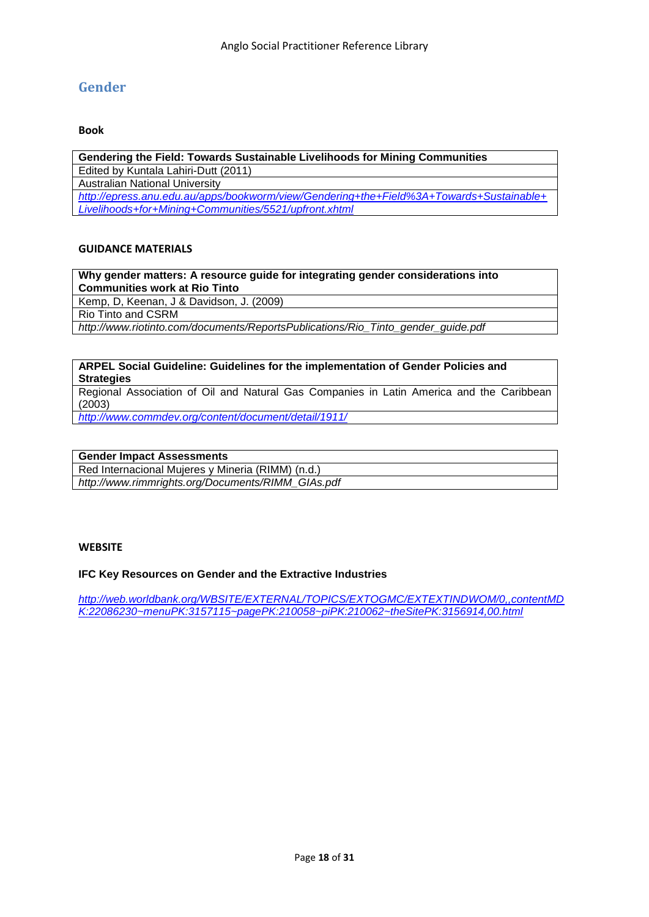# <span id="page-17-0"></span>**Gender**

#### **Book**

**Gendering the Field: Towards Sustainable Livelihoods for Mining Communities** Edited by Kuntala Lahiri-Dutt (2011) Australian National University *[http://epress.anu.edu.au/apps/bookworm/view/Gendering+the+Field%3A+Towards+Sustainable+](http://epress.anu.edu.au/apps/bookworm/view/Gendering+the+Field%3A+Towards+Sustainable+Livelihoods+for+Mining+Communities/5521/upfront.xhtml) [Livelihoods+for+Mining+Communities/5521/upfront.xhtml](http://epress.anu.edu.au/apps/bookworm/view/Gendering+the+Field%3A+Towards+Sustainable+Livelihoods+for+Mining+Communities/5521/upfront.xhtml)*

#### **GUIDANCE MATERIALS**

**Why gender matters: A resource guide for integrating gender considerations into Communities work at Rio Tinto**

Kemp, D, Keenan, J & Davidson, J. (2009)

Rio Tinto and CSRM

*http://www.riotinto.com/documents/ReportsPublications/Rio\_Tinto\_gender\_guide.pdf*

#### **ARPEL Social Guideline: Guidelines for the implementation of Gender Policies and Strategies**

Regional Association of Oil and Natural Gas Companies in Latin America and the Caribbean (2003)

*<http://www.commdev.org/content/document/detail/1911/>*

| <b>Gender Impact Assessments</b>                  |  |
|---------------------------------------------------|--|
| Red Internacional Mujeres y Mineria (RIMM) (n.d.) |  |
| http://www.rimmrights.org/Documents/RIMM_GIAs.pdf |  |

#### **WEBSITE**

#### **IFC Key Resources on Gender and the Extractive Industries**

*[http://web.worldbank.org/WBSITE/EXTERNAL/TOPICS/EXTOGMC/EXTEXTINDWOM/0,,contentMD](http://web.worldbank.org/WBSITE/EXTERNAL/TOPICS/EXTOGMC/EXTEXTINDWOM/0,,contentMDK:22086230~menuPK:3157115~pagePK:210058~piPK:210062~theSitePK:3156914,00.html) [K:22086230~menuPK:3157115~pagePK:210058~piPK:210062~theSitePK:3156914,00.html](http://web.worldbank.org/WBSITE/EXTERNAL/TOPICS/EXTOGMC/EXTEXTINDWOM/0,,contentMDK:22086230~menuPK:3157115~pagePK:210058~piPK:210062~theSitePK:3156914,00.html)*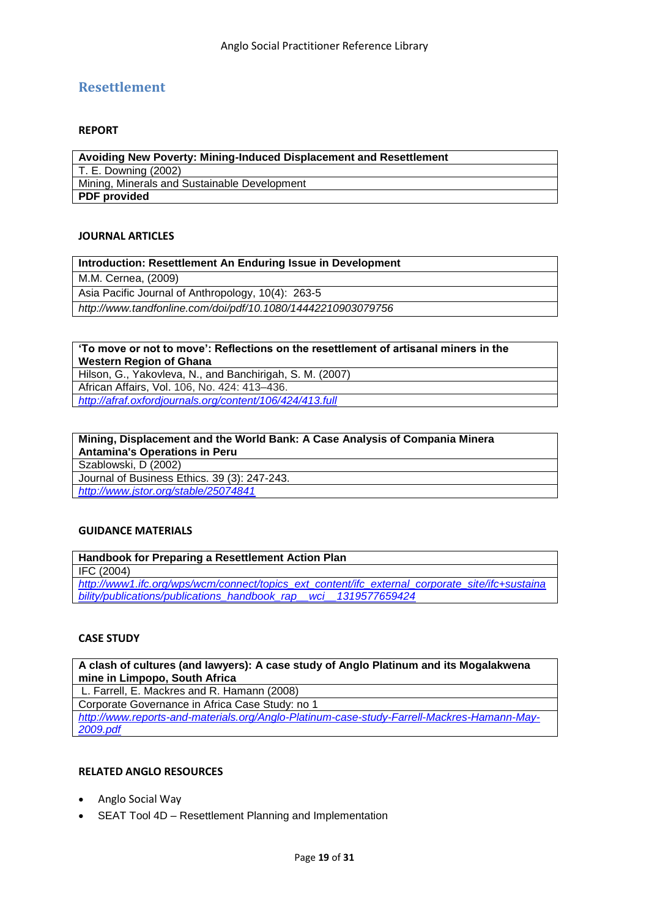# <span id="page-18-0"></span>**Resettlement**

### **REPORT**

**Avoiding New Poverty: Mining-Induced Displacement and Resettlement** T. E. Downing (2002) Mining, Minerals and Sustainable Development **PDF provided**

#### **JOURNAL ARTICLES**

| Introduction: Resettlement An Enduring Issue in Development  |  |
|--------------------------------------------------------------|--|
| M.M. Cernea, (2009)                                          |  |
| Asia Pacific Journal of Anthropology, 10(4): 263-5           |  |
| http://www.tandfonline.com/doi/pdf/10.1080/14442210903079756 |  |

#### **"To move or not to move": Reflections on the resettlement of artisanal miners in the Western Region of Ghana**

[Hilson,](http://afraf.oxfordjournals.org/search?author1=Gavin+Hilson&sortspec=date&submit=Submit) G., [Yakovleva,](http://afraf.oxfordjournals.org/search?author1=Natalia+Yakovleva&sortspec=date&submit=Submit) N., and [Banchirigah,](http://afraf.oxfordjournals.org/search?author1=Sadia+Mohammed+Banchirigah&sortspec=date&submit=Submit) S. M. (2007) African Affairs, Vol. 106, No. 424: 413–436. *<http://afraf.oxfordjournals.org/content/106/424/413.full>*

#### **Mining, Displacement and the World Bank: A Case Analysis of Compania Minera Antamina's Operations in Peru**

Szablowski, D (2002)

Journal of Business Ethics. 39 (3): 247-243.

# *<http://www.jstor.org/stable/25074841>*

# **GUIDANCE MATERIALS**

**Handbook for Preparing a Resettlement Action Plan** IFC (2004) *[http://www1.ifc.org/wps/wcm/connect/topics\\_ext\\_content/ifc\\_external\\_corporate\\_site/ifc+sustaina](http://www1.ifc.org/wps/wcm/connect/topics_ext_content/ifc_external_corporate_site/ifc+sustainability/publications/publications_handbook_rap__wci__1319577659424) [bility/publications/publications\\_handbook\\_rap\\_\\_wci\\_\\_1319577659424](http://www1.ifc.org/wps/wcm/connect/topics_ext_content/ifc_external_corporate_site/ifc+sustainability/publications/publications_handbook_rap__wci__1319577659424)*

#### **CASE STUDY**

**A clash of cultures (and lawyers): A case study of Anglo Platinum and its Mogalakwena mine in Limpopo, South Africa**

L. Farrell, E. Mackres and R. Hamann (2008)

Corporate Governance in Africa Case Study: no 1

*[http://www.reports-and-materials.org/Anglo-Platinum-case-study-Farrell-Mackres-Hamann-May-](http://www.reports-and-materials.org/Anglo-Platinum-case-study-Farrell-Mackres-Hamann-May-2009.pdf)[2009.pdf](http://www.reports-and-materials.org/Anglo-Platinum-case-study-Farrell-Mackres-Hamann-May-2009.pdf)*

- Anglo Social Way
- SEAT Tool 4D Resettlement Planning and Implementation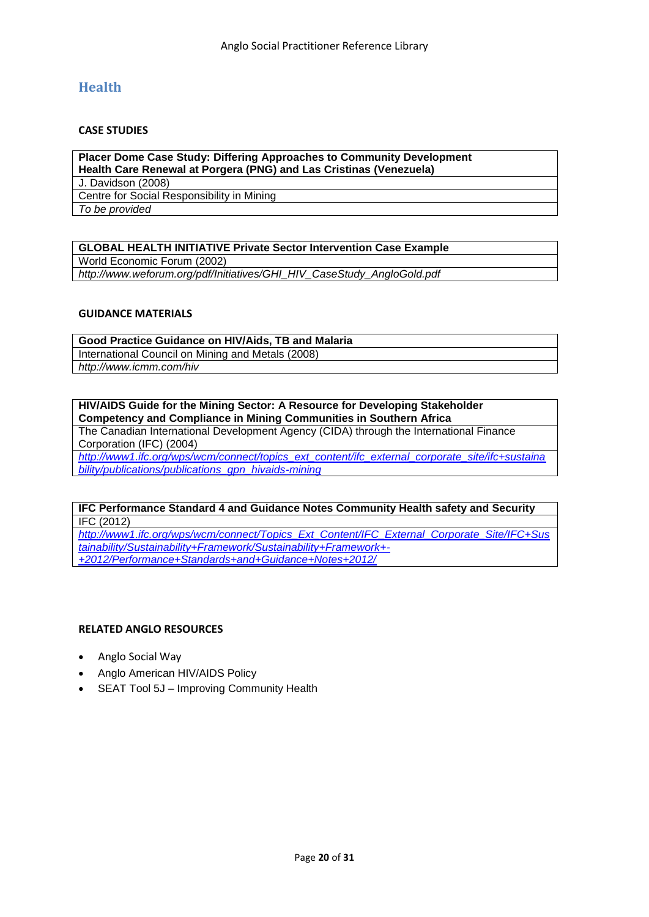# <span id="page-19-0"></span>**Health**

# **CASE STUDIES**

**Placer Dome Case Study: Differing Approaches to Community Development Health Care Renewal at Porgera (PNG) and Las Cristinas (Venezuela)** J. Davidson (2008) Centre for Social Responsibility in Mining *To be provided*

# **GLOBAL HEALTH INITIATIVE Private Sector Intervention Case Example**

World Economic Forum (2002)

*[http://www.weforum.org/pdf/Initiatives/GHI\\_HIV\\_CaseStudy\\_AngloGold.pdf](http://www.weforum.org/pdf/Initiatives/GHI_HIV_CaseStudy_AngloGold.pdf)*

#### **GUIDANCE MATERIALS**

**Good Practice Guidance on HIV/Aids, TB and Malaria** International Council on Mining and Metals (2008) *<http://www.icmm.com/hiv>*

#### **HIV/AIDS Guide for the Mining Sector: A Resource for Developing Stakeholder Competency and Compliance in Mining Communities in Southern Africa**

The Canadian International Development Agency (CIDA) through the International Finance Corporation (IFC) (2004)

*[http://www1.ifc.org/wps/wcm/connect/topics\\_ext\\_content/ifc\\_external\\_corporate\\_site/ifc+sustaina](http://www1.ifc.org/wps/wcm/connect/topics_ext_content/ifc_external_corporate_site/ifc+sustainability/publications/publications_gpn_hivaids-mining) [bility/publications/publications\\_gpn\\_hivaids-mining](http://www1.ifc.org/wps/wcm/connect/topics_ext_content/ifc_external_corporate_site/ifc+sustainability/publications/publications_gpn_hivaids-mining)*

#### **IFC Performance Standard 4 and Guidance Notes Community Health safety and Security** IFC (2012)

*[http://www1.ifc.org/wps/wcm/connect/Topics\\_Ext\\_Content/IFC\\_External\\_Corporate\\_Site/IFC+Sus](http://www1.ifc.org/wps/wcm/connect/Topics_Ext_Content/IFC_External_Corporate_Site/IFC+Sustainability/Sustainability+Framework/Sustainability+Framework+-+2012/Performance+Standards+and+Guidance+Notes+2012/) [tainability/Sustainability+Framework/Sustainability+Framework+-](http://www1.ifc.org/wps/wcm/connect/Topics_Ext_Content/IFC_External_Corporate_Site/IFC+Sustainability/Sustainability+Framework/Sustainability+Framework+-+2012/Performance+Standards+and+Guidance+Notes+2012/) [+2012/Performance+Standards+and+Guidance+Notes+2012/](http://www1.ifc.org/wps/wcm/connect/Topics_Ext_Content/IFC_External_Corporate_Site/IFC+Sustainability/Sustainability+Framework/Sustainability+Framework+-+2012/Performance+Standards+and+Guidance+Notes+2012/)*

- Anglo Social Way
- Anglo American HIV/AIDS Policy
- SEAT Tool 5J Improving Community Health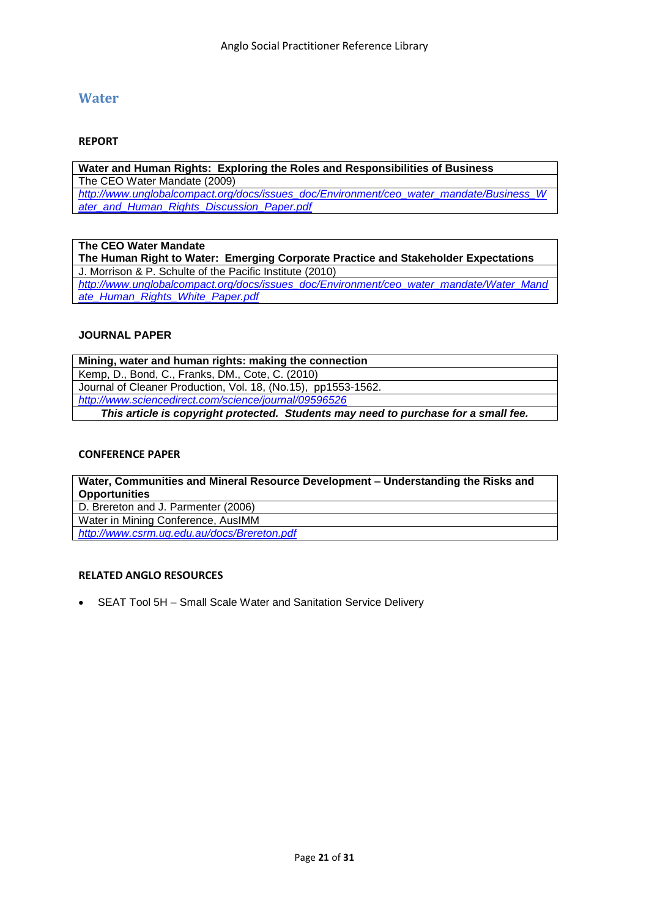# <span id="page-20-0"></span>**Water**

# **REPORT**

**Water and Human Rights: Exploring the Roles and Responsibilities of Business** The CEO Water Mandate (2009) *[http://www.unglobalcompact.org/docs/issues\\_doc/Environment/ceo\\_water\\_mandate/Business\\_W](http://www.unglobalcompact.org/docs/issues_doc/Environment/ceo_water_mandate/Business_Water_and_Human_Rights_Discussion_Paper.pdf) [ater\\_and\\_Human\\_Rights\\_Discussion\\_Paper.pdf](http://www.unglobalcompact.org/docs/issues_doc/Environment/ceo_water_mandate/Business_Water_and_Human_Rights_Discussion_Paper.pdf)*

**The CEO Water Mandate The Human Right to Water: Emerging Corporate Practice and Stakeholder Expectations** J. Morrison & P. Schulte of the Pacific Institute (2010) *[http://www.unglobalcompact.org/docs/issues\\_doc/Environment/ceo\\_water\\_mandate/Water\\_Mand](http://www.unglobalcompact.org/docs/issues_doc/Environment/ceo_water_mandate/Water_Mandate_Human_Rights_White_Paper.pdf) [ate\\_Human\\_Rights\\_White\\_Paper.pdf](http://www.unglobalcompact.org/docs/issues_doc/Environment/ceo_water_mandate/Water_Mandate_Human_Rights_White_Paper.pdf)*

#### **JOURNAL PAPER**

**Mining, water and human rights: making the connection** Kemp, D., Bond, C., Franks, DM., Cote, C. (2010) Journal of Cleaner Production, Vol. 18, (No.15), pp1553-1562. *<http://www.sciencedirect.com/science/journal/09596526> This article is copyright protected. Students may need to purchase for a small fee.*

### **CONFERENCE PAPER**

**Water, Communities and Mineral Resource Development – Understanding the Risks and Opportunities** D. Brereton and J. Parmenter (2006) Water in Mining Conference, AusIMM *<http://www.csrm.uq.edu.au/docs/Brereton.pdf>*

# **RELATED ANGLO RESOURCES**

SEAT Tool 5H – Small Scale Water and Sanitation Service Delivery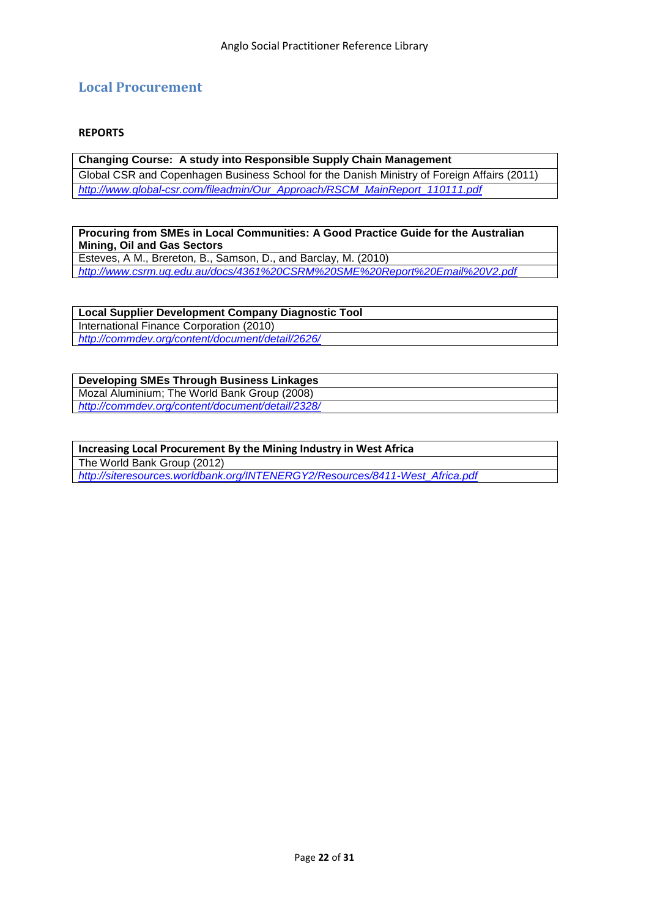# <span id="page-21-0"></span>**Local Procurement**

# **REPORTS**

**Changing Course: A study into Responsible Supply Chain Management** Global CSR and Copenhagen Business School for the Danish Ministry of Foreign Affairs (2011) *[http://www.global-csr.com/fileadmin/Our\\_Approach/RSCM\\_MainReport\\_110111.pdf](http://www.global-csr.com/fileadmin/Our_Approach/RSCM_MainReport_110111.pdf)*

**Procuring from SMEs in Local Communities: A Good Practice Guide for the Australian Mining, Oil and Gas Sectors**

Esteves, A M., Brereton, B., Samson, D., and Barclay, M. (2010) *<http://www.csrm.uq.edu.au/docs/4361%20CSRM%20SME%20Report%20Email%20V2.pdf>*

**Local Supplier Development Company Diagnostic Tool** International Finance Corporation (2010) *<http://commdev.org/content/document/detail/2626/>*

**Developing SMEs Through Business Linkages** [Mozal Aluminium;](http://bhpbilliton.com/bb/ourBusinesses/aluminium/mozal.jsp) [The World Bank Group](http://www.worldbank.org/) (2008) *<http://commdev.org/content/document/detail/2328/>*

**Increasing Local Procurement By the Mining Industry in West Africa** [The World Bank Group](http://www.worldbank.org/) (2012) *[http://siteresources.worldbank.org/INTENERGY2/Resources/8411-West\\_Africa.pdf](http://siteresources.worldbank.org/INTENERGY2/Resources/8411-West_Africa.pdf)*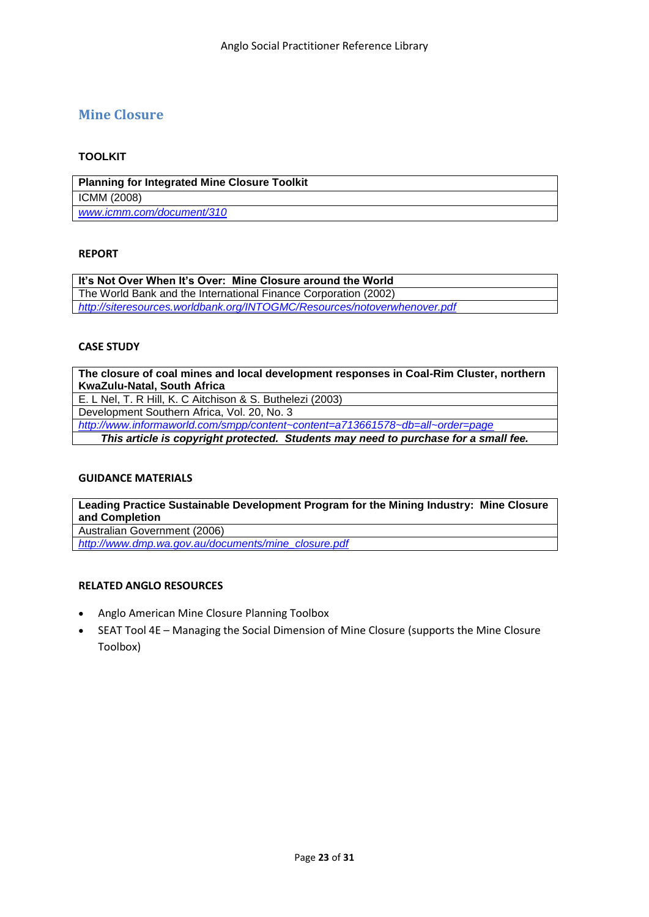# <span id="page-22-0"></span>**Mine Closure**

# **TOOLKIT**

**Planning for Integrated Mine Closure Toolkit** ICMM (2008) *[www.icmm.com/document/310](file:///C:/Users/uqjparme/Desktop/www.icmm.com/document/310)*

# **REPORT**

It's Not Over When It's Over: Mine Closure around the World The World Bank and the International Finance Corporation (2002) *<http://siteresources.worldbank.org/INTOGMC/Resources/notoverwhenover.pdf>*

# **CASE STUDY**

**The closure of coal mines and local development responses in Coal-Rim Cluster, northern KwaZulu-Natal, South Africa** E. L Nel, T. R Hill, K. C Aitchison & S. Buthelezi (2003) Development Southern Africa, Vol. 20, No. 3 *<http://www.informaworld.com/smpp/content~content=a713661578~db=all~order=page> This article is copyright protected. Students may need to purchase for a small fee.*

# **GUIDANCE MATERIALS**

**Leading Practice Sustainable Development Program for the Mining Industry: Mine Closure and Completion** Australian Government (2006)

*[http://www.dmp.wa.gov.au/documents/mine\\_closure.pdf](http://www.dmp.wa.gov.au/documents/mine_closure.pdf)*

- Anglo American Mine Closure Planning Toolbox
- SEAT Tool 4E Managing the Social Dimension of Mine Closure (supports the Mine Closure Toolbox)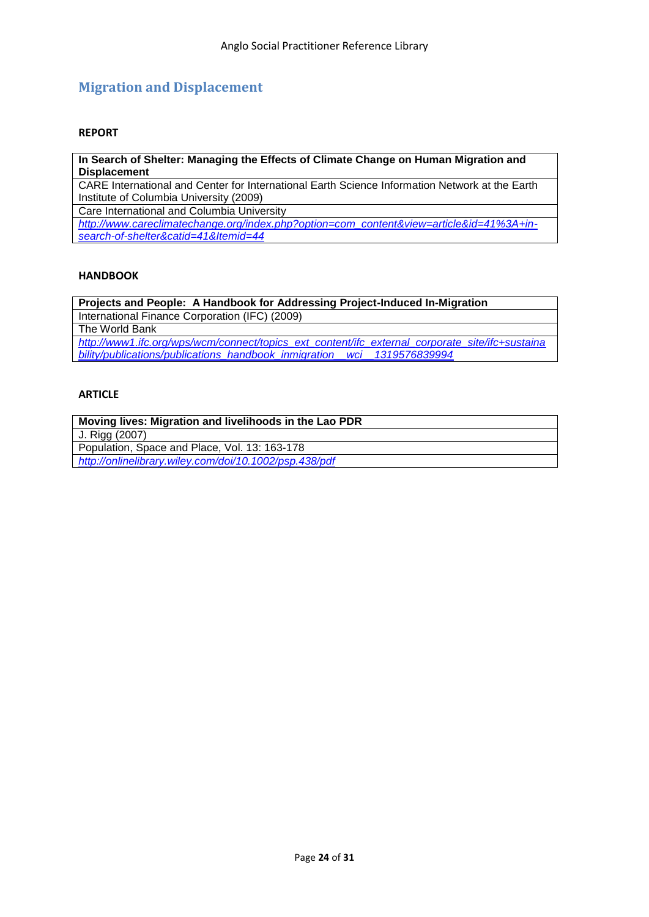# <span id="page-23-0"></span>**Migration and Displacement**

# **REPORT**

**In Search of Shelter: Managing the Effects of Climate Change on Human Migration and Displacement**

CARE International and Center for International Earth Science Information Network at the Earth Institute of Columbia University (2009)

Care International and Columbia University

*[http://www.careclimatechange.org/index.php?option=com\\_content&view=article&id=41%3A+in](http://www.careclimatechange.org/index.php?option=com_content&view=article&id=41%3A+in-search-of-shelter&catid=41&Itemid=44)[search-of-shelter&catid=41&Itemid=44](http://www.careclimatechange.org/index.php?option=com_content&view=article&id=41%3A+in-search-of-shelter&catid=41&Itemid=44)*

# **HANDBOOK**

**Projects and People: A Handbook for Addressing Project-Induced In-Migration** International Finance Corporation (IFC) (2009) The World Bank

*[http://www1.ifc.org/wps/wcm/connect/topics\\_ext\\_content/ifc\\_external\\_corporate\\_site/ifc+sustaina](http://www1.ifc.org/wps/wcm/connect/topics_ext_content/ifc_external_corporate_site/ifc+sustainability/publications/publications_handbook_inmigration__wci__1319576839994) [bility/publications/publications\\_handbook\\_inmigration\\_\\_wci\\_\\_1319576839994](http://www1.ifc.org/wps/wcm/connect/topics_ext_content/ifc_external_corporate_site/ifc+sustainability/publications/publications_handbook_inmigration__wci__1319576839994)*

# **ARTICLE**

**Moving lives: Migration and livelihoods in the Lao PDR** J. Rigg (2007) Population, Space and Place, Vol. 13: 163-178 *<http://onlinelibrary.wiley.com/doi/10.1002/psp.438/pdf>*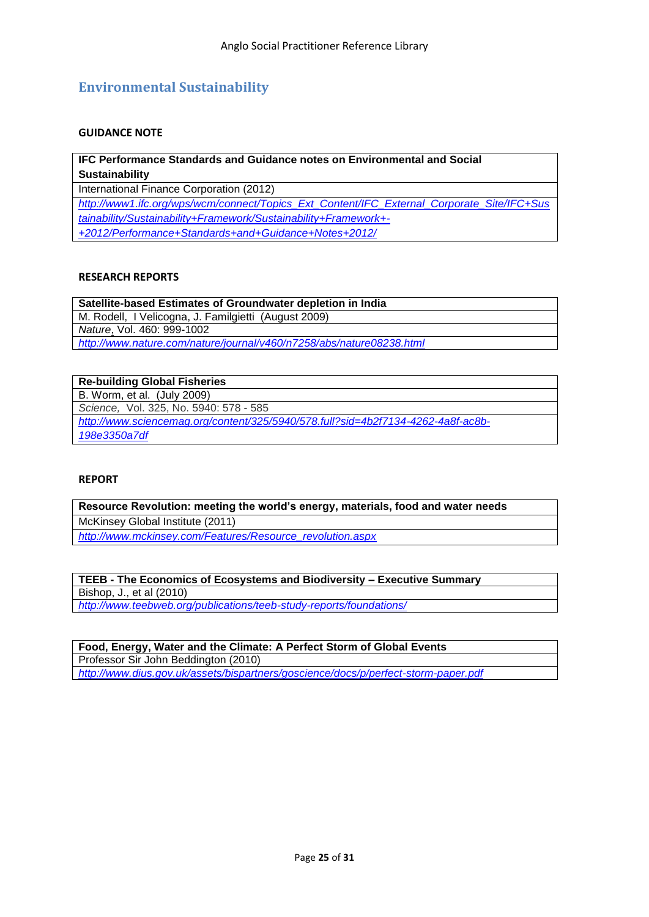# <span id="page-24-0"></span>**Environmental Sustainability**

# **GUIDANCE NOTE**

**IFC Performance Standards and Guidance notes on Environmental and Social Sustainability**

International Finance Corporation (2012)

*[http://www1.ifc.org/wps/wcm/connect/Topics\\_Ext\\_Content/IFC\\_External\\_Corporate\\_Site/IFC+Sus](http://www1.ifc.org/wps/wcm/connect/Topics_Ext_Content/IFC_External_Corporate_Site/IFC+Sustainability/Sustainability+Framework/Sustainability+Framework+-+2012/Performance+Standards+and+Guidance+Notes+2012/) [tainability/Sustainability+Framework/Sustainability+Framework+-](http://www1.ifc.org/wps/wcm/connect/Topics_Ext_Content/IFC_External_Corporate_Site/IFC+Sustainability/Sustainability+Framework/Sustainability+Framework+-+2012/Performance+Standards+and+Guidance+Notes+2012/) [+2012/Performance+Standards+and+Guidance+Notes+2012/](http://www1.ifc.org/wps/wcm/connect/Topics_Ext_Content/IFC_External_Corporate_Site/IFC+Sustainability/Sustainability+Framework/Sustainability+Framework+-+2012/Performance+Standards+and+Guidance+Notes+2012/)*

#### **RESEARCH REPORTS**

**Satellite-based Estimates of Groundwater depletion in India** M. Rodell, I Velicogna, J. Familgietti (August 2009) *Nature*, Vol. 460: 999-1002 *<http://www.nature.com/nature/journal/v460/n7258/abs/nature08238.html>*

**Re-building Global Fisheries** B. Worm, et al. (July 2009) *Science,* Vol. 325, No. 5940: 578 - 585 *[http://www.sciencemag.org/content/325/5940/578.full?sid=4b2f7134-4262-4a8f-ac8b-](http://www.sciencemag.org/content/325/5940/578.full?sid=4b2f7134-4262-4a8f-ac8b-198e3350a7df)[198e3350a7df](http://www.sciencemag.org/content/325/5940/578.full?sid=4b2f7134-4262-4a8f-ac8b-198e3350a7df)*

#### **REPORT**

**Resource Revolution: meeting the world"s energy, materials, food and water needs** McKinsey Global Institute (2011) *[http://www.mckinsey.com/Features/Resource\\_revolution.aspx](http://www.mckinsey.com/Features/Resource_revolution.aspx)*

**TEEB - The Economics of Ecosystems and Biodiversity – Executive Summary** Bishop, J., et al (2010) *<http://www.teebweb.org/publications/teeb-study-reports/foundations/>*

**Food, Energy, Water and the Climate: A Perfect Storm of Global Events** Professor Sir John Beddington (2010) *<http://www.dius.gov.uk/assets/bispartners/goscience/docs/p/perfect-storm-paper.pdf>*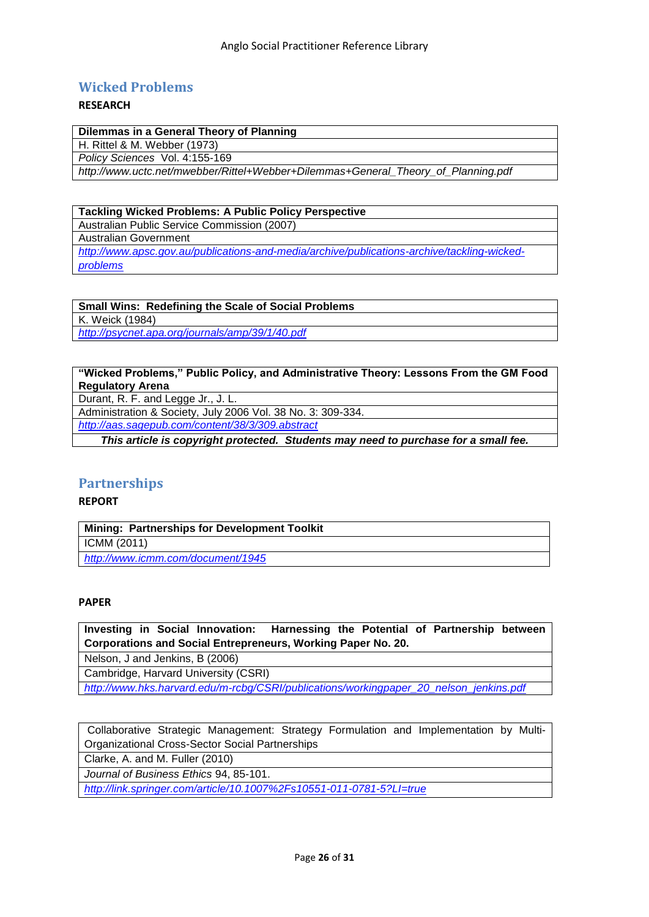# <span id="page-25-0"></span>**Wicked Problems**

# **RESEARCH**

| Dilemmas in a General Theory of Planning                                          |  |
|-----------------------------------------------------------------------------------|--|
| H. Rittel & M. Webber (1973)                                                      |  |
| Policy Sciences Vol. 4:155-169                                                    |  |
| http://www.uctc.net/mwebber/Rittel+Webber+Dilemmas+General_Theory_of_Planning.pdf |  |

# **Tackling Wicked Problems: A Public Policy Perspective** Australian Public Service Commission (2007) Australian Government *[http://www.apsc.gov.au/publications-and-media/archive/publications-archive/tackling-wicked-](http://www.apsc.gov.au/publications-and-media/archive/publications-archive/tackling-wicked-problems)*

*[problems](http://www.apsc.gov.au/publications-and-media/archive/publications-archive/tackling-wicked-problems)*

**Small Wins: Redefining the Scale of Social Problems** K. Weick (1984)

*<http://psycnet.apa.org/journals/amp/39/1/40.pdf>*

# **"Wicked Problems," Public Policy, and Administrative Theory: Lessons From the GM Food Regulatory Arena**

Durant, R. F. and Legge Jr., J. L.

Administration & Society, July 2006 Vol. 38 No. 3: 309-334.

*<http://aas.sagepub.com/content/38/3/309.abstract>*

*This article is copyright protected. Students may need to purchase for a small fee.*

# <span id="page-25-1"></span>**Partnerships**

# **REPORT**

| <b>Mining: Partnerships for Development Toolkit</b> |
|-----------------------------------------------------|
| ICMM (2011)                                         |
| http://www.icmm.com/document/1945                   |

# **PAPER**

**Investing in Social Innovation: Harnessing the Potential of Partnership between Corporations and Social Entrepreneurs, Working Paper No. 20.**

Nelson, J and Jenkins, B (2006)

Cambridge, Harvard University (CSRI)

*[http://www.hks.harvard.edu/m-rcbg/CSRI/publications/workingpaper\\_20\\_nelson\\_jenkins.pdf](http://www.hks.harvard.edu/m-rcbg/CSRI/publications/workingpaper_20_nelson_jenkins.pdf)*

Collaborative Strategic Management: Strategy Formulation and Implementation by Multi-Organizational Cross-Sector Social Partnerships

Clarke, A. and M. Fuller (2010)

*Journal of Business Ethics* 94, 85-101.

*<http://link.springer.com/article/10.1007%2Fs10551-011-0781-5?LI=true>*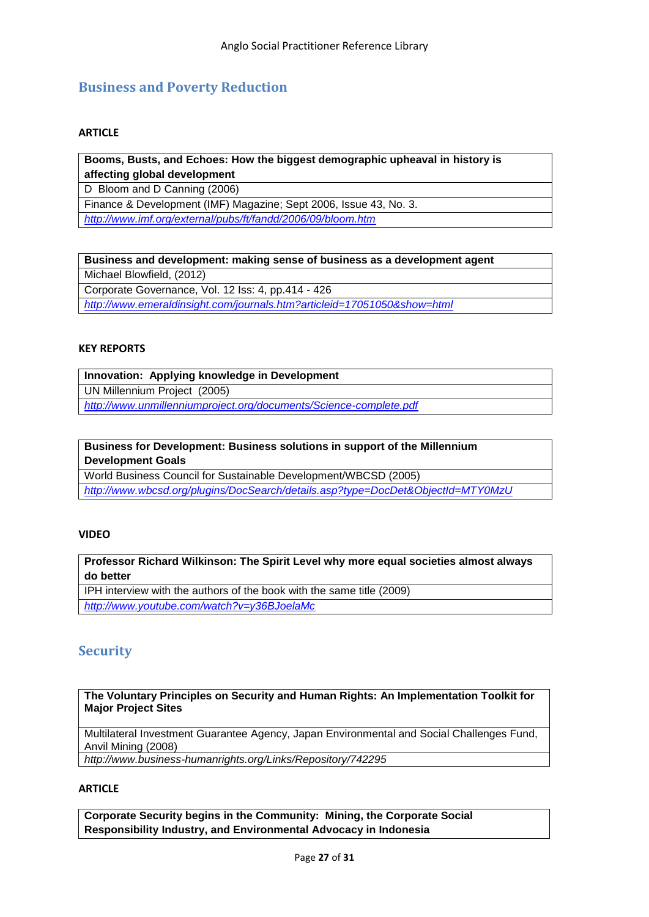# <span id="page-26-0"></span>**Business and Poverty Reduction**

# **ARTICLE**

# **[Booms, Busts, and Echoes: How the biggest demographic upheaval in history is](http://www.imf.org/external/pubs/ft/fandd/2006/09/bloom.htm)  [affecting global development](http://www.imf.org/external/pubs/ft/fandd/2006/09/bloom.htm)**

D Bloom and D Canning (2006)

Finance & Development (IMF) Magazine; Sept 2006, Issue 43, No. 3.

*<http://www.imf.org/external/pubs/ft/fandd/2006/09/bloom.htm>*

# **Business and development: making sense of business as a development agent**

Michael Blowfield, (2012)

Corporate Governance, Vol. 12 Iss: 4, pp.414 - 426

*<http://www.emeraldinsight.com/journals.htm?articleid=17051050&show=html>*

# **KEY REPORTS**

| Innovation: Applying knowledge in Development                     |
|-------------------------------------------------------------------|
| UN Millennium Project (2005)                                      |
| http://www.unmillenniumproject.org/documents/Science-complete.pdf |

# **[Business for Development: Business solutions in support of the Millennium](http://www.wbcsd.org/web/publications/biz4dev.pdf)  [Development Goals](http://www.wbcsd.org/web/publications/biz4dev.pdf)**

World Business Council for Sustainable Development/WBCSD (2005) *<http://www.wbcsd.org/plugins/DocSearch/details.asp?type=DocDet&ObjectId=MTY0MzU>*

# **VIDEO**

# **Professor Richard Wilkinson: The Spirit Level why more equal societies almost always do better**

IPH interview with the authors of the book with the same title (2009) *<http://www.youtube.com/watch?v=y36BJoelaMc>*

# <span id="page-26-1"></span>**Security**

#### **The Voluntary Principles on Security and Human Rights: An Implementation Toolkit for Major Project Sites**

Multilateral Investment Guarantee Agency, Japan Environmental and Social Challenges Fund, Anvil Mining (2008)

*<http://www.business-humanrights.org/Links/Repository/742295>*

# **ARTICLE**

**Corporate Security begins in the Community: Mining, the Corporate Social Responsibility Industry, and Environmental Advocacy in Indonesia**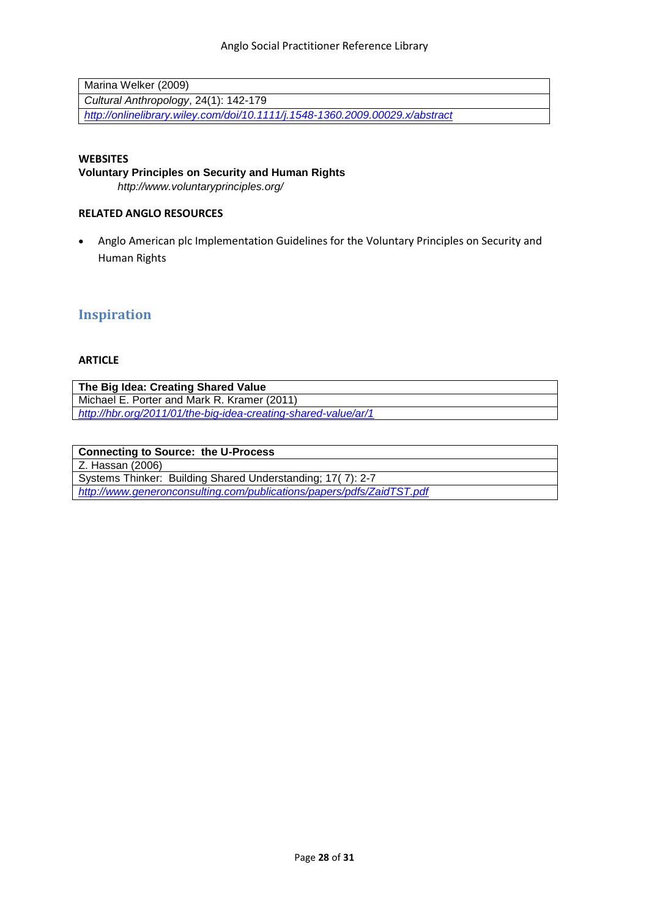| Marina Welker (2009)                                                         |
|------------------------------------------------------------------------------|
| Cultural Anthropology, 24(1): 142-179                                        |
| http://onlinelibrary.wiley.com/doi/10.1111/j.1548-1360.2009.00029.x/abstract |

# **WEBSITES**

**Voluntary Principles on Security and Human Rights** 

*<http://www.voluntaryprinciples.org/>*

# **RELATED ANGLO RESOURCES**

 Anglo American plc Implementation Guidelines for the Voluntary Principles on Security and Human Rights

# <span id="page-27-0"></span>**Inspiration**

# **ARTICLE**

| The Big Idea: Creating Shared Value                            |
|----------------------------------------------------------------|
| Michael E. Porter and Mark R. Kramer (2011)                    |
| http://hbr.org/2011/01/the-big-idea-creating-shared-value/ar/1 |
|                                                                |

| <b>Connecting to Source: the U-Process</b>                            |
|-----------------------------------------------------------------------|
| Z. Hassan (2006)                                                      |
| Systems Thinker: Building Shared Understanding; 17(7): 2-7            |
| http://www.generonconsulting.com/publications/papers/pdfs/ZaidTST.pdf |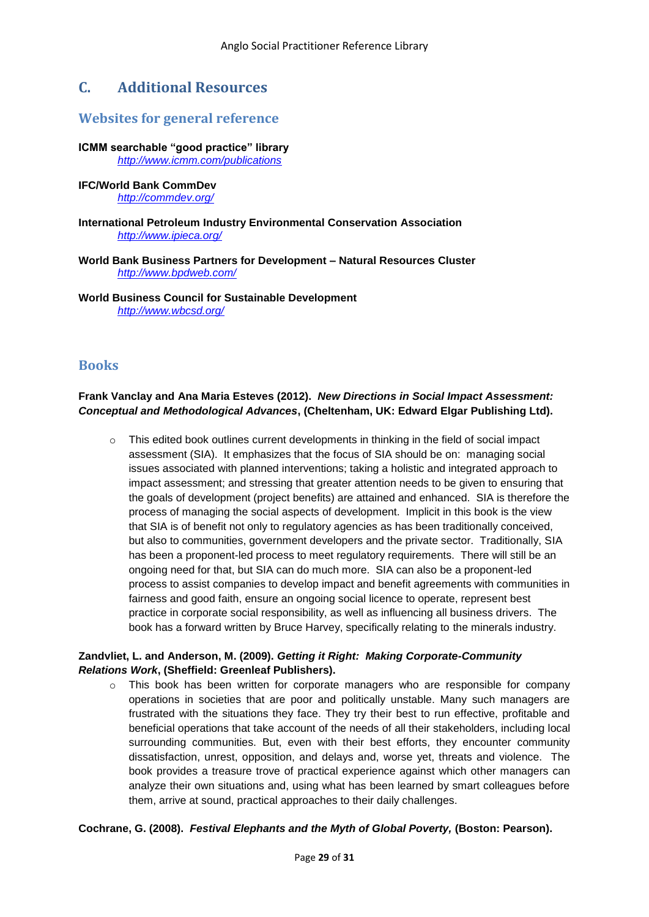# <span id="page-28-0"></span>**C. Additional Resources**

# <span id="page-28-1"></span>**Websites for general reference**

**ICMM searchable "good practice" library** *<http://www.icmm.com/publications>*

# **IFC/World Bank CommDev**

*<http://commdev.org/>*

# **International Petroleum Industry Environmental Conservation Association**  *<http://www.ipieca.org/>*

**World Bank Business Partners for Development – Natural Resources Cluster**  *<http://www.bpdweb.com/>*

**World Business Council for Sustainable Development**  *<http://www.wbcsd.org/>*

# <span id="page-28-2"></span>**Books**

# **Frank Vanclay and Ana Maria Esteves (2012).** *New Directions in Social Impact Assessment: Conceptual and Methodological Advances***, (Cheltenham, UK: Edward Elgar Publishing Ltd).**

o This edited book outlines current developments in thinking in the field of social impact assessment (SIA). It emphasizes that the focus of SIA should be on: managing social issues associated with planned interventions; taking a holistic and integrated approach to impact assessment; and stressing that greater attention needs to be given to ensuring that the goals of development (project benefits) are attained and enhanced. SIA is therefore the process of managing the social aspects of development. Implicit in this book is the view that SIA is of benefit not only to regulatory agencies as has been traditionally conceived, but also to communities, government developers and the private sector. Traditionally, SIA has been a proponent-led process to meet regulatory requirements. There will still be an ongoing need for that, but SIA can do much more. SIA can also be a proponent-led process to assist companies to develop impact and benefit agreements with communities in fairness and good faith, ensure an ongoing social licence to operate, represent best practice in corporate social responsibility, as well as influencing all business drivers. The book has a forward written by Bruce Harvey, specifically relating to the minerals industry.

# **Zandvliet, L. and Anderson, M. (2009).** *Getting it Right: Making Corporate-Community Relations Work***, (Sheffield: Greenleaf Publishers).**

 $\circ$  This book has been written for corporate managers who are responsible for company operations in societies that are poor and politically unstable. Many such managers are frustrated with the situations they face. They try their best to run effective, profitable and beneficial operations that take account of the needs of all their stakeholders, including local surrounding communities. But, even with their best efforts, they encounter community dissatisfaction, unrest, opposition, and delays and, worse yet, threats and violence. The book provides a treasure trove of practical experience against which other managers can analyze their own situations and, using what has been learned by smart colleagues before them, arrive at sound, practical approaches to their daily challenges.

# **Cochrane, G. (2008).** *Festival Elephants and the Myth of Global Poverty,* **(Boston: Pearson).**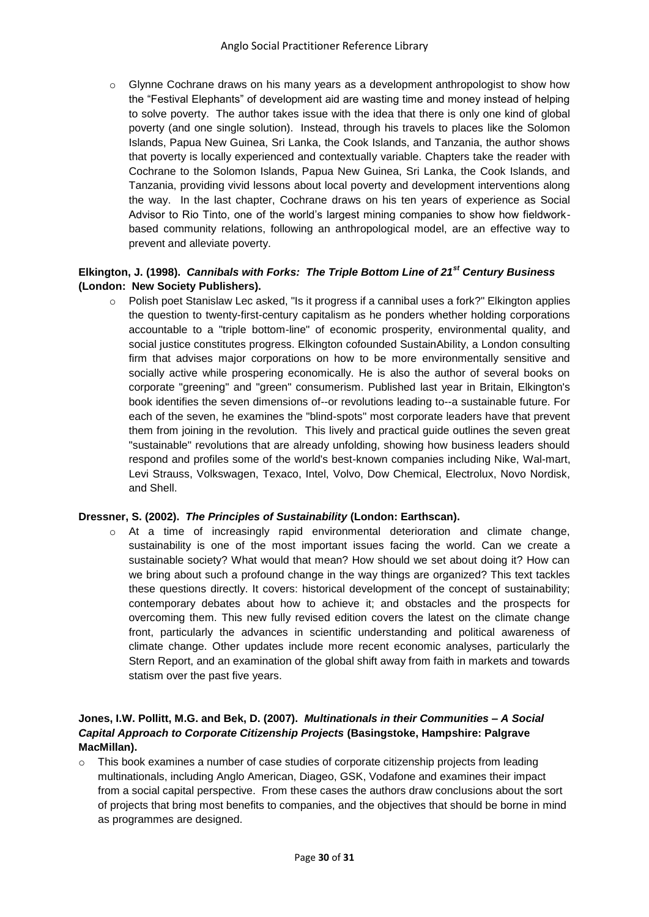$\circ$  Glynne Cochrane draws on his many years as a development anthropologist to show how the "Festival Elephants" of development aid are wasting time and money instead of helping to solve poverty. The author takes issue with the idea that there is only one kind of global poverty (and one single solution). Instead, through his travels to places like the Solomon Islands, Papua New Guinea, Sri Lanka, the Cook Islands, and Tanzania, the author shows that poverty is locally experienced and contextually variable. Chapters take the reader with Cochrane to the Solomon Islands, Papua New Guinea, Sri Lanka, the Cook Islands, and Tanzania, providing vivid lessons about local poverty and development interventions along the way. In the last chapter, Cochrane draws on his ten years of experience as Social Advisor to Rio Tinto, one of the world's largest mining companies to show how fieldworkbased community relations, following an anthropological model, are an effective way to prevent and alleviate poverty.

# **Elkington, J. (1998).** *Cannibals with Forks: The Triple Bottom Line of 21st Century Business* **(London: New Society Publishers).**

 $\circ$  Polish poet Stanislaw Lec asked, "Is it progress if a cannibal uses a fork?" Elkington applies the question to twenty-first-century capitalism as he ponders whether holding corporations accountable to a "triple bottom-line" of economic prosperity, environmental quality, and social justice constitutes progress. Elkington cofounded SustainAbility, a London consulting firm that advises major corporations on how to be more environmentally sensitive and socially active while prospering economically. He is also the author of several books on corporate "greening" and "green" consumerism. Published last year in Britain, Elkington's book identifies the seven dimensions of--or revolutions leading to--a sustainable future. For each of the seven, he examines the "blind-spots" most corporate leaders have that prevent them from joining in the revolution. This lively and practical guide outlines the seven great "sustainable" revolutions that are already unfolding, showing how business leaders should respond and profiles some of the world's best-known companies including Nike, Wal-mart, Levi Strauss, Volkswagen, Texaco, Intel, Volvo, Dow Chemical, Electrolux, Novo Nordisk, and Shell.

# **Dressner, S. (2002).** *The Principles of Sustainability* **(London: Earthscan).**

 $\circ$  At a time of increasingly rapid environmental deterioration and climate change, sustainability is one of the most important issues facing the world. Can we create a sustainable society? What would that mean? How should we set about doing it? How can we bring about such a profound change in the way things are organized? This text tackles these questions directly. It covers: historical development of the concept of sustainability; contemporary debates about how to achieve it; and obstacles and the prospects for overcoming them. This new fully revised edition covers the latest on the climate change front, particularly the advances in scientific understanding and political awareness of climate change. Other updates include more recent economic analyses, particularly the Stern Report, and an examination of the global shift away from faith in markets and towards statism over the past five years.

# **Jones, I.W. Pollitt, M.G. and Bek, D. (2007).** *Multinationals in their Communities – A Social Capital Approach to Corporate Citizenship Projects* **(Basingstoke, Hampshire: Palgrave MacMillan).**

 $\circ$  This book examines a number of case studies of corporate citizenship projects from leading multinationals, including Anglo American, Diageo, GSK, Vodafone and examines their impact from a social capital perspective. From these cases the authors draw conclusions about the sort of projects that bring most benefits to companies, and the objectives that should be borne in mind as programmes are designed.